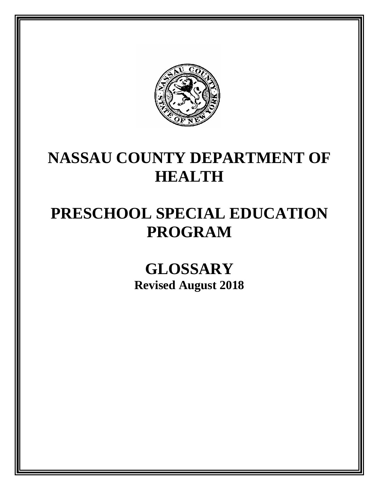

# **NASSAU COUNTY DEPARTMENT OF HEALTH**

# **PRESCHOOL SPECIAL EDUCATION PROGRAM**

**GLOSSARY Revised August 2018**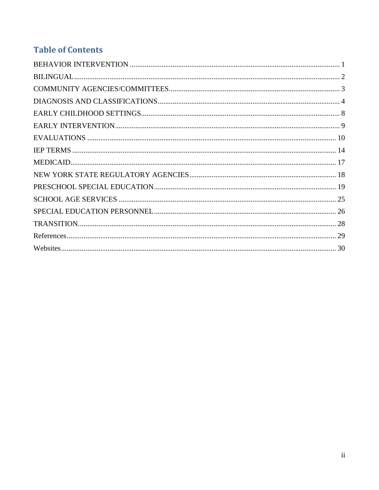# **Table of Contents**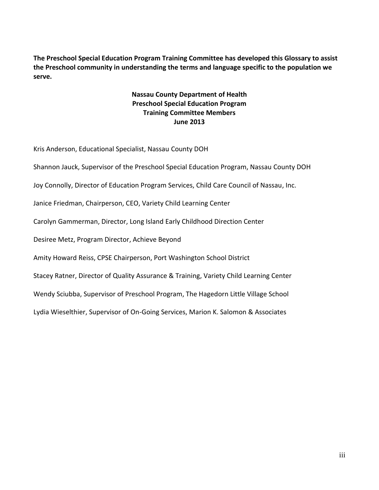**The Preschool Special Education Program Training Committee has developed this Glossary to assist the Preschool community in understanding the terms and language specific to the population we serve.**

### **Nassau County Department of Health Preschool Special Education Program Training Committee Members June 2013**

Kris Anderson, Educational Specialist, Nassau County DOH

Shannon Jauck, Supervisor of the Preschool Special Education Program, Nassau County DOH

Joy Connolly, Director of Education Program Services, Child Care Council of Nassau, Inc.

Janice Friedman, Chairperson, CEO, Variety Child Learning Center

Carolyn Gammerman, Director, Long Island Early Childhood Direction Center

Desiree Metz, Program Director, Achieve Beyond

Amity Howard Reiss, CPSE Chairperson, Port Washington School District

Stacey Ratner, Director of Quality Assurance & Training, Variety Child Learning Center

Wendy Sciubba, Supervisor of Preschool Program, The Hagedorn Little Village School

Lydia Wieselthier, Supervisor of On-Going Services, Marion K. Salomon & Associates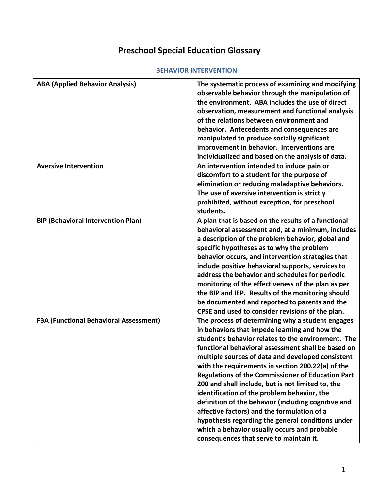# **Preschool Special Education Glossary**

#### **BEHAVIOR INTERVENTION**

<span id="page-3-0"></span>

| <b>ABA (Applied Behavior Analysis)</b>        | The systematic process of examining and modifying        |
|-----------------------------------------------|----------------------------------------------------------|
|                                               | observable behavior through the manipulation of          |
|                                               | the environment. ABA includes the use of direct          |
|                                               |                                                          |
|                                               | observation, measurement and functional analysis         |
|                                               | of the relations between environment and                 |
|                                               | behavior. Antecedents and consequences are               |
|                                               | manipulated to produce socially significant              |
|                                               | improvement in behavior. Interventions are               |
|                                               | individualized and based on the analysis of data.        |
| <b>Aversive Intervention</b>                  | An intervention intended to induce pain or               |
|                                               | discomfort to a student for the purpose of               |
|                                               | elimination or reducing maladaptive behaviors.           |
|                                               | The use of aversive intervention is strictly             |
|                                               | prohibited, without exception, for preschool             |
|                                               | students.                                                |
| <b>BIP (Behavioral Intervention Plan)</b>     | A plan that is based on the results of a functional      |
|                                               | behavioral assessment and, at a minimum, includes        |
|                                               | a description of the problem behavior, global and        |
|                                               | specific hypotheses as to why the problem                |
|                                               | behavior occurs, and intervention strategies that        |
|                                               | include positive behavioral supports, services to        |
|                                               | address the behavior and schedules for periodic          |
|                                               | monitoring of the effectiveness of the plan as per       |
|                                               | the BIP and IEP. Results of the monitoring should        |
|                                               | be documented and reported to parents and the            |
|                                               | CPSE and used to consider revisions of the plan.         |
| <b>FBA (Functional Behavioral Assessment)</b> | The process of determining why a student engages         |
|                                               |                                                          |
|                                               | in behaviors that impede learning and how the            |
|                                               | student's behavior relates to the environment. The       |
|                                               | functional behavioral assessment shall be based on       |
|                                               | multiple sources of data and developed consistent        |
|                                               | with the requirements in section 200.22(a) of the        |
|                                               | <b>Regulations of the Commissioner of Education Part</b> |
|                                               | 200 and shall include, but is not limited to, the        |
|                                               | identification of the problem behavior, the              |
|                                               | definition of the behavior (including cognitive and      |
|                                               | affective factors) and the formulation of a              |
|                                               | hypothesis regarding the general conditions under        |
|                                               | which a behavior usually occurs and probable             |
|                                               | consequences that serve to maintain it.                  |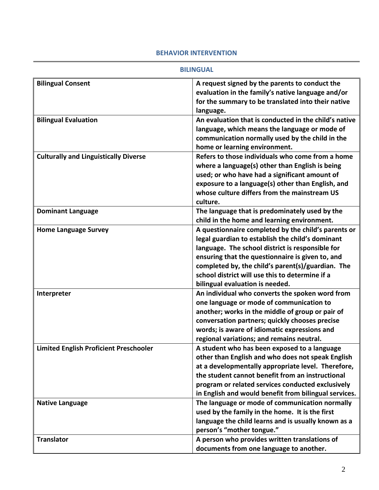#### **BEHAVIOR INTERVENTION**

#### **BILINGUAL**

<span id="page-4-0"></span>

| <b>Bilingual Consent</b><br>A request signed by the parents to conduct the<br>evaluation in the family's native language and/or<br>for the summary to be translated into their native<br>language.<br>An evaluation that is conducted in the child's native<br><b>Bilingual Evaluation</b><br>language, which means the language or mode of<br>communication normally used by the child in the<br>home or learning environment.<br><b>Culturally and Linguistically Diverse</b><br>Refers to those individuals who come from a home<br>where a language(s) other than English is being<br>used; or who have had a significant amount of<br>exposure to a language(s) other than English, and<br>whose culture differs from the mainstream US<br>culture.<br>The language that is predominately used by the<br><b>Dominant Language</b><br>child in the home and learning environment.<br>A questionnaire completed by the child's parents or<br><b>Home Language Survey</b><br>legal guardian to establish the child's dominant<br>language. The school district is responsible for<br>ensuring that the questionnaire is given to, and<br>completed by, the child's parent(s)/guardian. The<br>school district will use this to determine if a<br>bilingual evaluation is needed.<br>An individual who converts the spoken word from<br>Interpreter<br>one language or mode of communication to |
|--------------------------------------------------------------------------------------------------------------------------------------------------------------------------------------------------------------------------------------------------------------------------------------------------------------------------------------------------------------------------------------------------------------------------------------------------------------------------------------------------------------------------------------------------------------------------------------------------------------------------------------------------------------------------------------------------------------------------------------------------------------------------------------------------------------------------------------------------------------------------------------------------------------------------------------------------------------------------------------------------------------------------------------------------------------------------------------------------------------------------------------------------------------------------------------------------------------------------------------------------------------------------------------------------------------------------------------------------------------------------------------------------|
|                                                                                                                                                                                                                                                                                                                                                                                                                                                                                                                                                                                                                                                                                                                                                                                                                                                                                                                                                                                                                                                                                                                                                                                                                                                                                                                                                                                                  |
|                                                                                                                                                                                                                                                                                                                                                                                                                                                                                                                                                                                                                                                                                                                                                                                                                                                                                                                                                                                                                                                                                                                                                                                                                                                                                                                                                                                                  |
|                                                                                                                                                                                                                                                                                                                                                                                                                                                                                                                                                                                                                                                                                                                                                                                                                                                                                                                                                                                                                                                                                                                                                                                                                                                                                                                                                                                                  |
|                                                                                                                                                                                                                                                                                                                                                                                                                                                                                                                                                                                                                                                                                                                                                                                                                                                                                                                                                                                                                                                                                                                                                                                                                                                                                                                                                                                                  |
|                                                                                                                                                                                                                                                                                                                                                                                                                                                                                                                                                                                                                                                                                                                                                                                                                                                                                                                                                                                                                                                                                                                                                                                                                                                                                                                                                                                                  |
|                                                                                                                                                                                                                                                                                                                                                                                                                                                                                                                                                                                                                                                                                                                                                                                                                                                                                                                                                                                                                                                                                                                                                                                                                                                                                                                                                                                                  |
|                                                                                                                                                                                                                                                                                                                                                                                                                                                                                                                                                                                                                                                                                                                                                                                                                                                                                                                                                                                                                                                                                                                                                                                                                                                                                                                                                                                                  |
|                                                                                                                                                                                                                                                                                                                                                                                                                                                                                                                                                                                                                                                                                                                                                                                                                                                                                                                                                                                                                                                                                                                                                                                                                                                                                                                                                                                                  |
|                                                                                                                                                                                                                                                                                                                                                                                                                                                                                                                                                                                                                                                                                                                                                                                                                                                                                                                                                                                                                                                                                                                                                                                                                                                                                                                                                                                                  |
|                                                                                                                                                                                                                                                                                                                                                                                                                                                                                                                                                                                                                                                                                                                                                                                                                                                                                                                                                                                                                                                                                                                                                                                                                                                                                                                                                                                                  |
|                                                                                                                                                                                                                                                                                                                                                                                                                                                                                                                                                                                                                                                                                                                                                                                                                                                                                                                                                                                                                                                                                                                                                                                                                                                                                                                                                                                                  |
|                                                                                                                                                                                                                                                                                                                                                                                                                                                                                                                                                                                                                                                                                                                                                                                                                                                                                                                                                                                                                                                                                                                                                                                                                                                                                                                                                                                                  |
|                                                                                                                                                                                                                                                                                                                                                                                                                                                                                                                                                                                                                                                                                                                                                                                                                                                                                                                                                                                                                                                                                                                                                                                                                                                                                                                                                                                                  |
|                                                                                                                                                                                                                                                                                                                                                                                                                                                                                                                                                                                                                                                                                                                                                                                                                                                                                                                                                                                                                                                                                                                                                                                                                                                                                                                                                                                                  |
|                                                                                                                                                                                                                                                                                                                                                                                                                                                                                                                                                                                                                                                                                                                                                                                                                                                                                                                                                                                                                                                                                                                                                                                                                                                                                                                                                                                                  |
|                                                                                                                                                                                                                                                                                                                                                                                                                                                                                                                                                                                                                                                                                                                                                                                                                                                                                                                                                                                                                                                                                                                                                                                                                                                                                                                                                                                                  |
|                                                                                                                                                                                                                                                                                                                                                                                                                                                                                                                                                                                                                                                                                                                                                                                                                                                                                                                                                                                                                                                                                                                                                                                                                                                                                                                                                                                                  |
|                                                                                                                                                                                                                                                                                                                                                                                                                                                                                                                                                                                                                                                                                                                                                                                                                                                                                                                                                                                                                                                                                                                                                                                                                                                                                                                                                                                                  |
|                                                                                                                                                                                                                                                                                                                                                                                                                                                                                                                                                                                                                                                                                                                                                                                                                                                                                                                                                                                                                                                                                                                                                                                                                                                                                                                                                                                                  |
|                                                                                                                                                                                                                                                                                                                                                                                                                                                                                                                                                                                                                                                                                                                                                                                                                                                                                                                                                                                                                                                                                                                                                                                                                                                                                                                                                                                                  |
|                                                                                                                                                                                                                                                                                                                                                                                                                                                                                                                                                                                                                                                                                                                                                                                                                                                                                                                                                                                                                                                                                                                                                                                                                                                                                                                                                                                                  |
|                                                                                                                                                                                                                                                                                                                                                                                                                                                                                                                                                                                                                                                                                                                                                                                                                                                                                                                                                                                                                                                                                                                                                                                                                                                                                                                                                                                                  |
|                                                                                                                                                                                                                                                                                                                                                                                                                                                                                                                                                                                                                                                                                                                                                                                                                                                                                                                                                                                                                                                                                                                                                                                                                                                                                                                                                                                                  |
|                                                                                                                                                                                                                                                                                                                                                                                                                                                                                                                                                                                                                                                                                                                                                                                                                                                                                                                                                                                                                                                                                                                                                                                                                                                                                                                                                                                                  |
| another; works in the middle of group or pair of                                                                                                                                                                                                                                                                                                                                                                                                                                                                                                                                                                                                                                                                                                                                                                                                                                                                                                                                                                                                                                                                                                                                                                                                                                                                                                                                                 |
| conversation partners; quickly chooses precise                                                                                                                                                                                                                                                                                                                                                                                                                                                                                                                                                                                                                                                                                                                                                                                                                                                                                                                                                                                                                                                                                                                                                                                                                                                                                                                                                   |
| words; is aware of idiomatic expressions and                                                                                                                                                                                                                                                                                                                                                                                                                                                                                                                                                                                                                                                                                                                                                                                                                                                                                                                                                                                                                                                                                                                                                                                                                                                                                                                                                     |
| regional variations; and remains neutral.                                                                                                                                                                                                                                                                                                                                                                                                                                                                                                                                                                                                                                                                                                                                                                                                                                                                                                                                                                                                                                                                                                                                                                                                                                                                                                                                                        |
| <b>Limited English Proficient Preschooler</b><br>A student who has been exposed to a language                                                                                                                                                                                                                                                                                                                                                                                                                                                                                                                                                                                                                                                                                                                                                                                                                                                                                                                                                                                                                                                                                                                                                                                                                                                                                                    |
| other than English and who does not speak English                                                                                                                                                                                                                                                                                                                                                                                                                                                                                                                                                                                                                                                                                                                                                                                                                                                                                                                                                                                                                                                                                                                                                                                                                                                                                                                                                |
| at a developmentally appropriate level. Therefore,                                                                                                                                                                                                                                                                                                                                                                                                                                                                                                                                                                                                                                                                                                                                                                                                                                                                                                                                                                                                                                                                                                                                                                                                                                                                                                                                               |
| the student cannot benefit from an instructional                                                                                                                                                                                                                                                                                                                                                                                                                                                                                                                                                                                                                                                                                                                                                                                                                                                                                                                                                                                                                                                                                                                                                                                                                                                                                                                                                 |
| program or related services conducted exclusively                                                                                                                                                                                                                                                                                                                                                                                                                                                                                                                                                                                                                                                                                                                                                                                                                                                                                                                                                                                                                                                                                                                                                                                                                                                                                                                                                |
| in English and would benefit from bilingual services.                                                                                                                                                                                                                                                                                                                                                                                                                                                                                                                                                                                                                                                                                                                                                                                                                                                                                                                                                                                                                                                                                                                                                                                                                                                                                                                                            |
| The language or mode of communication normally<br><b>Native Language</b>                                                                                                                                                                                                                                                                                                                                                                                                                                                                                                                                                                                                                                                                                                                                                                                                                                                                                                                                                                                                                                                                                                                                                                                                                                                                                                                         |
| used by the family in the home. It is the first                                                                                                                                                                                                                                                                                                                                                                                                                                                                                                                                                                                                                                                                                                                                                                                                                                                                                                                                                                                                                                                                                                                                                                                                                                                                                                                                                  |
| language the child learns and is usually known as a                                                                                                                                                                                                                                                                                                                                                                                                                                                                                                                                                                                                                                                                                                                                                                                                                                                                                                                                                                                                                                                                                                                                                                                                                                                                                                                                              |
| person's "mother tongue."                                                                                                                                                                                                                                                                                                                                                                                                                                                                                                                                                                                                                                                                                                                                                                                                                                                                                                                                                                                                                                                                                                                                                                                                                                                                                                                                                                        |
| <b>Translator</b><br>A person who provides written translations of                                                                                                                                                                                                                                                                                                                                                                                                                                                                                                                                                                                                                                                                                                                                                                                                                                                                                                                                                                                                                                                                                                                                                                                                                                                                                                                               |
| documents from one language to another.                                                                                                                                                                                                                                                                                                                                                                                                                                                                                                                                                                                                                                                                                                                                                                                                                                                                                                                                                                                                                                                                                                                                                                                                                                                                                                                                                          |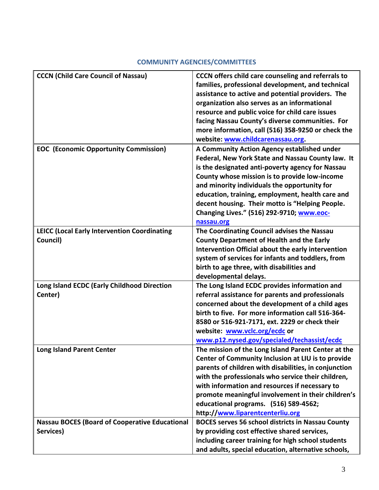## **COMMUNITY AGENCIES/COMMITTEES**

<span id="page-5-0"></span>

| <b>CCCN (Child Care Council of Nassau)</b>            | <b>CCCN</b> offers child care counseling and referrals to |
|-------------------------------------------------------|-----------------------------------------------------------|
|                                                       | families, professional development, and technical         |
|                                                       | assistance to active and potential providers. The         |
|                                                       | organization also serves as an informational              |
|                                                       | resource and public voice for child care issues           |
|                                                       | facing Nassau County's diverse communities. For           |
|                                                       | more information, call (516) 358-9250 or check the        |
|                                                       | website: www.childcarenassau.org.                         |
|                                                       |                                                           |
| <b>EOC</b> (Economic Opportunity Commission)          | A Community Action Agency established under               |
|                                                       | Federal, New York State and Nassau County law. It         |
|                                                       | is the designated anti-poverty agency for Nassau          |
|                                                       | County whose mission is to provide low-income             |
|                                                       | and minority individuals the opportunity for              |
|                                                       | education, training, employment, health care and          |
|                                                       | decent housing. Their motto is "Helping People.           |
|                                                       | Changing Lives." (516) 292-9710; www.eoc-                 |
|                                                       | nassau.org                                                |
| <b>LEICC (Local Early Intervention Coordinating</b>   | The Coordinating Council advises the Nassau               |
| Council)                                              | <b>County Department of Health and the Early</b>          |
|                                                       | Intervention Official about the early intervention        |
|                                                       | system of services for infants and toddlers, from         |
|                                                       | birth to age three, with disabilities and                 |
|                                                       | developmental delays.                                     |
| Long Island ECDC (Early Childhood Direction           | The Long Island ECDC provides information and             |
| Center)                                               | referral assistance for parents and professionals         |
|                                                       | concerned about the development of a child ages           |
|                                                       | birth to five. For more information call 516-364-         |
|                                                       | 8580 or 516-921-7171, ext. 2229 or check their            |
|                                                       | website: www.vclc.org/ecdc or                             |
|                                                       |                                                           |
|                                                       | www.p12.nysed.gov/specialed/techassist/ecdc               |
| <b>Long Island Parent Center</b>                      | The mission of the Long Island Parent Center at the       |
|                                                       | Center of Community Inclusion at LIU is to provide        |
|                                                       | parents of children with disabilities, in conjunction     |
|                                                       | with the professionals who service their children,        |
|                                                       | with information and resources if necessary to            |
|                                                       | promote meaningful involvement in their children's        |
|                                                       | educational programs. (516) 589-4562;                     |
|                                                       | http://www.liparentcenterliu.org                          |
| <b>Nassau BOCES (Board of Cooperative Educational</b> | <b>BOCES serves 56 school districts in Nassau County</b>  |
| Services)                                             | by providing cost effective shared services,              |
|                                                       | including career training for high school students        |
|                                                       | and adults, special education, alternative schools,       |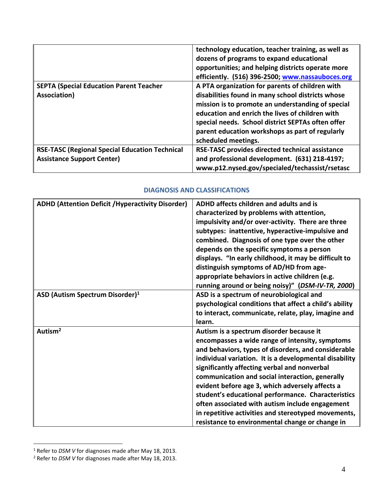|                                                       | technology education, teacher training, as well as<br>dozens of programs to expand educational<br>opportunities; and helping districts operate more<br>efficiently. (516) 396-2500; www.nassauboces.org |
|-------------------------------------------------------|---------------------------------------------------------------------------------------------------------------------------------------------------------------------------------------------------------|
| <b>SEPTA (Special Education Parent Teacher</b>        | A PTA organization for parents of children with                                                                                                                                                         |
| Association)                                          | disabilities found in many school districts whose                                                                                                                                                       |
|                                                       | mission is to promote an understanding of special                                                                                                                                                       |
|                                                       | education and enrich the lives of children with                                                                                                                                                         |
|                                                       | special needs. School district SEPTAs often offer                                                                                                                                                       |
|                                                       | parent education workshops as part of regularly                                                                                                                                                         |
|                                                       | scheduled meetings.                                                                                                                                                                                     |
| <b>RSE-TASC (Regional Special Education Technical</b> | RSE-TASC provides directed technical assistance                                                                                                                                                         |
| <b>Assistance Support Center)</b>                     | and professional development. (631) 218-4197;                                                                                                                                                           |
|                                                       | www.p12.nysed.gov/specialed/techassist/rsetasc                                                                                                                                                          |

#### **DIAGNOSIS AND CLASSIFICATIONS**

<span id="page-6-0"></span>

| <b>ADHD (Attention Deficit / Hyperactivity Disorder)</b> | ADHD affects children and adults and is                |
|----------------------------------------------------------|--------------------------------------------------------|
|                                                          | characterized by problems with attention,              |
|                                                          | impulsivity and/or over-activity. There are three      |
|                                                          | subtypes: inattentive, hyperactive-impulsive and       |
|                                                          | combined. Diagnosis of one type over the other         |
|                                                          | depends on the specific symptoms a person              |
|                                                          | displays. "In early childhood, it may be difficult to  |
|                                                          | distinguish symptoms of AD/HD from age-                |
|                                                          | appropriate behaviors in active children (e.g.         |
|                                                          | running around or being noisy)" (DSM-IV-TR, 2000)      |
| ASD (Autism Spectrum Disorder) <sup>1</sup>              | ASD is a spectrum of neurobiological and               |
|                                                          | psychological conditions that affect a child's ability |
|                                                          | to interact, communicate, relate, play, imagine and    |
|                                                          | learn.                                                 |
| Autism <sup>2</sup>                                      | Autism is a spectrum disorder because it               |
|                                                          | encompasses a wide range of intensity, symptoms        |
|                                                          | and behaviors, types of disorders, and considerable    |
|                                                          | individual variation. It is a developmental disability |
|                                                          | significantly affecting verbal and nonverbal           |
|                                                          | communication and social interaction, generally        |
|                                                          | evident before age 3, which adversely affects a        |
|                                                          | student's educational performance. Characteristics     |
|                                                          | often associated with autism include engagement        |
|                                                          | in repetitive activities and stereotyped movements,    |
|                                                          | resistance to environmental change or change in        |

 $\overline{a}$ <sup>1</sup> Refer to *DSM V* for diagnoses made after May 18, 2013.

<sup>2</sup> Refer to *DSM V* for diagnoses made after May 18, 2013.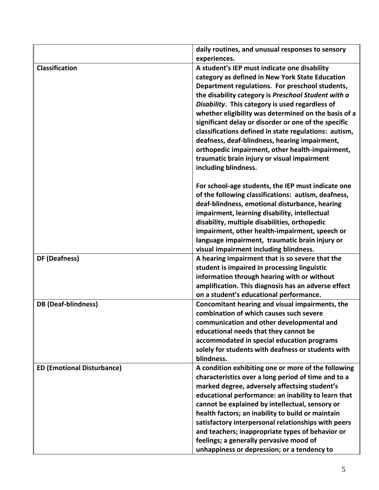|                                   | daily routines, and unusual responses to sensory<br>experiences. |
|-----------------------------------|------------------------------------------------------------------|
|                                   |                                                                  |
| <b>Classification</b>             | A student's IEP must indicate one disability                     |
|                                   | category as defined in New York State Education                  |
|                                   | Department regulations. For preschool students,                  |
|                                   | the disability category is Preschool Student with a              |
|                                   | Disability. This category is used regardless of                  |
|                                   | whether eligibility was determined on the basis of a             |
|                                   | significant delay or disorder or one of the specific             |
|                                   | classifications defined in state regulations: autism,            |
|                                   | deafness, deaf-blindness, hearing impairment,                    |
|                                   | orthopedic impairment, other health-impairment,                  |
|                                   | traumatic brain injury or visual impairment                      |
|                                   | including blindness.                                             |
|                                   | For school-age students, the IEP must indicate one               |
|                                   | of the following classifications: autism, deafness,              |
|                                   | deaf-blindness, emotional disturbance, hearing                   |
|                                   | impairment, learning disability, intellectual                    |
|                                   | disability, multiple disabilities, orthopedic                    |
|                                   | impairment, other health-impairment, speech or                   |
|                                   | language impairment, traumatic brain injury or                   |
|                                   | visual impairment including blindness.                           |
| DF (Deafness)                     | A hearing impairment that is so severe that the                  |
|                                   | student is impaired in processing linguistic                     |
|                                   | information through hearing with or without                      |
|                                   | amplification. This diagnosis has an adverse effect              |
|                                   | on a student's educational performance.                          |
| <b>DB</b> (Deaf-blindness)        | Concomitant hearing and visual impairments, the                  |
|                                   | combination of which causes such severe                          |
|                                   | communication and other developmental and                        |
|                                   | educational needs that they cannot be                            |
|                                   | accommodated in special education programs                       |
|                                   | solely for students with deafness or students with               |
|                                   | blindness.                                                       |
| <b>ED (Emotional Disturbance)</b> | A condition exhibiting one or more of the following              |
|                                   | characteristics over a long period of time and to a              |
|                                   | marked degree, adversely affectsing student's                    |
|                                   | educational performance: an inability to learn that              |
|                                   | cannot be explained by intellectual, sensory or                  |
|                                   | health factors; an inability to build or maintain                |
|                                   | satisfactory interpersonal relationships with peers              |
|                                   | and teachers; inappropriate types of behavior or                 |
|                                   | feelings; a generally pervasive mood of                          |
|                                   | unhappiness or depression; or a tendency to                      |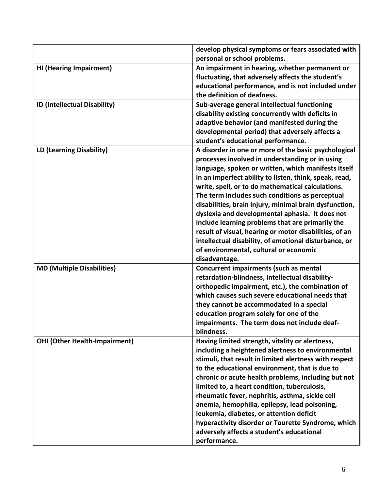|                                      | develop physical symptoms or fears associated with     |
|--------------------------------------|--------------------------------------------------------|
|                                      | personal or school problems.                           |
| <b>HI (Hearing Impairment)</b>       | An impairment in hearing, whether permanent or         |
|                                      | fluctuating, that adversely affects the student's      |
|                                      | educational performance, and is not included under     |
|                                      | the definition of deafness.                            |
| ID (Intellectual Disability)         | Sub-average general intellectual functioning           |
|                                      | disability existing concurrently with deficits in      |
|                                      | adaptive behavior (and manifested during the           |
|                                      | developmental period) that adversely affects a         |
|                                      | student's educational performance.                     |
| LD (Learning Disability)             | A disorder in one or more of the basic psychological   |
|                                      | processes involved in understanding or in using        |
|                                      | language, spoken or written, which manifests itself    |
|                                      | in an imperfect ability to listen, think, speak, read, |
|                                      | write, spell, or to do mathematical calculations.      |
|                                      | The term includes such conditions as perceptual        |
|                                      | disabilities, brain injury, minimal brain dysfunction, |
|                                      | dyslexia and developmental aphasia. It does not        |
|                                      | include learning problems that are primarily the       |
|                                      | result of visual, hearing or motor disabilities, of an |
|                                      | intellectual disability, of emotional disturbance, or  |
|                                      | of environmental, cultural or economic                 |
|                                      | disadvantage.                                          |
| <b>MD (Multiple Disabilities)</b>    | Concurrent impairments (such as mental                 |
|                                      | retardation-blindness, intellectual disability-        |
|                                      | orthopedic impairment, etc.), the combination of       |
|                                      | which causes such severe educational needs that        |
|                                      | they cannot be accommodated in a special               |
|                                      | education program solely for one of the                |
|                                      | impairments. The term does not include deaf-           |
|                                      | blindness.                                             |
| <b>OHI (Other Health-Impairment)</b> | Having limited strength, vitality or alertness,        |
|                                      | including a heightened alertness to environmental      |
|                                      | stimuli, that result in limited alertness with respect |
|                                      | to the educational environment, that is due to         |
|                                      | chronic or acute health problems, including but not    |
|                                      | limited to, a heart condition, tuberculosis,           |
|                                      | rheumatic fever, nephritis, asthma, sickle cell        |
|                                      | anemia, hemophilia, epilepsy, lead poisoning,          |
|                                      | leukemia, diabetes, or attention deficit               |
|                                      | hyperactivity disorder or Tourette Syndrome, which     |
|                                      | adversely affects a student's educational              |
|                                      | performance.                                           |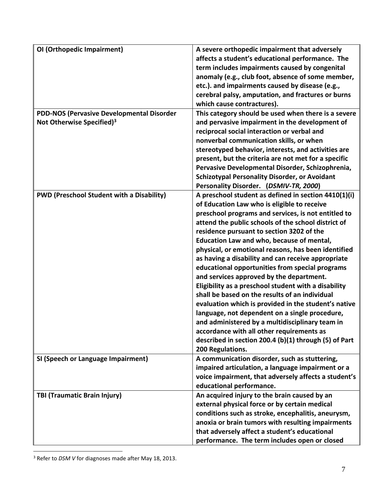| OI (Orthopedic Impairment)                       | A severe orthopedic impairment that adversely         |
|--------------------------------------------------|-------------------------------------------------------|
|                                                  | affects a student's educational performance. The      |
|                                                  | term includes impairments caused by congenital        |
|                                                  | anomaly (e.g., club foot, absence of some member,     |
|                                                  | etc.). and impairments caused by disease (e.g.,       |
|                                                  | cerebral palsy, amputation, and fractures or burns    |
|                                                  | which cause contractures).                            |
| <b>PDD-NOS (Pervasive Developmental Disorder</b> | This category should be used when there is a severe   |
| Not Otherwise Specified) <sup>3</sup>            | and pervasive impairment in the development of        |
|                                                  | reciprocal social interaction or verbal and           |
|                                                  | nonverbal communication skills, or when               |
|                                                  | stereotyped behavior, interests, and activities are   |
|                                                  | present, but the criteria are not met for a specific  |
|                                                  | Pervasive Developmental Disorder, Schizophrenia,      |
|                                                  | <b>Schizotypal Personality Disorder, or Avoidant</b>  |
|                                                  | Personality Disorder. (DSMIV-TR, 2000)                |
| <b>PWD (Preschool Student with a Disability)</b> | A preschool student as defined in section 4410(1)(i)  |
|                                                  | of Education Law who is eligible to receive           |
|                                                  | preschool programs and services, is not entitled to   |
|                                                  | attend the public schools of the school district of   |
|                                                  | residence pursuant to section 3202 of the             |
|                                                  |                                                       |
|                                                  | <b>Education Law and who, because of mental,</b>      |
|                                                  | physical, or emotional reasons, has been identified   |
|                                                  | as having a disability and can receive appropriate    |
|                                                  | educational opportunities from special programs       |
|                                                  | and services approved by the department.              |
|                                                  | Eligibility as a preschool student with a disability  |
|                                                  | shall be based on the results of an individual        |
|                                                  | evaluation which is provided in the student's native  |
|                                                  | language, not dependent on a single procedure,        |
|                                                  | and administered by a multidisciplinary team in       |
|                                                  | accordance with all other requirements as             |
|                                                  | described in section 200.4 (b)(1) through (5) of Part |
|                                                  | 200 Regulations.                                      |
| SI (Speech or Language Impairment)               | A communication disorder, such as stuttering,         |
|                                                  | impaired articulation, a language impairment or a     |
|                                                  | voice impairment, that adversely affects a student's  |
|                                                  | educational performance.                              |
| TBI (Traumatic Brain Injury)                     | An acquired injury to the brain caused by an          |
|                                                  | external physical force or by certain medical         |
|                                                  | conditions such as stroke, encephalitis, aneurysm,    |
|                                                  | anoxia or brain tumors with resulting impairments     |
|                                                  | that adversely affect a student's educational         |
|                                                  | performance. The term includes open or closed         |

<sup>3</sup> Refer to *DSM V* for diagnoses made after May 18, 2013.

 $\overline{a}$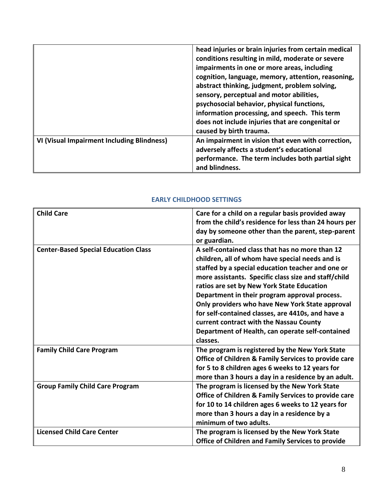|                                            | head injuries or brain injuries from certain medical<br>conditions resulting in mild, moderate or severe<br>impairments in one or more areas, including<br>cognition, language, memory, attention, reasoning,<br>abstract thinking, judgment, problem solving,<br>sensory, perceptual and motor abilities,<br>psychosocial behavior, physical functions,<br>information processing, and speech. This term<br>does not include injuries that are congenital or<br>caused by birth trauma. |
|--------------------------------------------|------------------------------------------------------------------------------------------------------------------------------------------------------------------------------------------------------------------------------------------------------------------------------------------------------------------------------------------------------------------------------------------------------------------------------------------------------------------------------------------|
| VI (Visual Impairment Including Blindness) | An impairment in vision that even with correction,<br>adversely affects a student's educational<br>performance. The term includes both partial sight<br>and blindness.                                                                                                                                                                                                                                                                                                                   |

#### **EARLY CHILDHOOD SETTINGS**

<span id="page-10-0"></span>

| <b>Child Care</b>                           | Care for a child on a regular basis provided away        |
|---------------------------------------------|----------------------------------------------------------|
|                                             | from the child's residence for less than 24 hours per    |
|                                             | day by someone other than the parent, step-parent        |
|                                             | or guardian.                                             |
| <b>Center-Based Special Education Class</b> | A self-contained class that has no more than 12          |
|                                             | children, all of whom have special needs and is          |
|                                             | staffed by a special education teacher and one or        |
|                                             | more assistants. Specific class size and staff/child     |
|                                             | ratios are set by New York State Education               |
|                                             | Department in their program approval process.            |
|                                             | Only providers who have New York State approval          |
|                                             | for self-contained classes, are 4410s, and have a        |
|                                             | current contract with the Nassau County                  |
|                                             | Department of Health, can operate self-contained         |
|                                             | classes.                                                 |
| <b>Family Child Care Program</b>            | The program is registered by the New York State          |
|                                             | Office of Children & Family Services to provide care     |
|                                             | for 5 to 8 children ages 6 weeks to 12 years for         |
|                                             | more than 3 hours a day in a residence by an adult.      |
| <b>Group Family Child Care Program</b>      | The program is licensed by the New York State            |
|                                             | Office of Children & Family Services to provide care     |
|                                             | for 10 to 14 children ages 6 weeks to 12 years for       |
|                                             | more than 3 hours a day in a residence by a              |
|                                             | minimum of two adults.                                   |
| <b>Licensed Child Care Center</b>           | The program is licensed by the New York State            |
|                                             | <b>Office of Children and Family Services to provide</b> |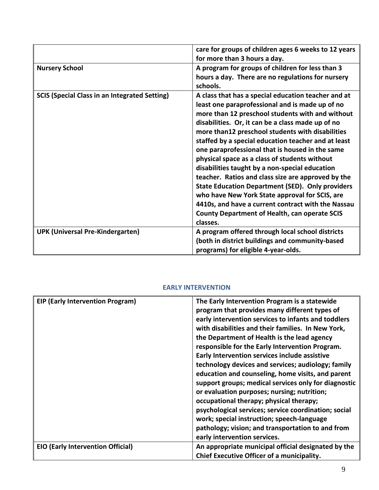|                                                      | care for groups of children ages 6 weeks to 12 years    |
|------------------------------------------------------|---------------------------------------------------------|
|                                                      |                                                         |
|                                                      | for more than 3 hours a day.                            |
| <b>Nursery School</b>                                | A program for groups of children for less than 3        |
|                                                      | hours a day. There are no regulations for nursery       |
|                                                      | schools.                                                |
| <b>SCIS (Special Class in an Integrated Setting)</b> | A class that has a special education teacher and at     |
|                                                      | least one paraprofessional and is made up of no         |
|                                                      | more than 12 preschool students with and without        |
|                                                      | disabilities. Or, it can be a class made up of no       |
|                                                      | more than12 preschool students with disabilities        |
|                                                      | staffed by a special education teacher and at least     |
|                                                      | one paraprofessional that is housed in the same         |
|                                                      | physical space as a class of students without           |
|                                                      | disabilities taught by a non-special education          |
|                                                      | teacher. Ratios and class size are approved by the      |
|                                                      | <b>State Education Department (SED). Only providers</b> |
|                                                      | who have New York State approval for SCIS, are          |
|                                                      | 4410s, and have a current contract with the Nassau      |
|                                                      | <b>County Department of Health, can operate SCIS</b>    |
|                                                      | classes.                                                |
| <b>UPK (Universal Pre-Kindergarten)</b>              | A program offered through local school districts        |
|                                                      | (both in district buildings and community-based         |
|                                                      | programs) for eligible 4-year-olds.                     |

## **EARLY INTERVENTION**

<span id="page-11-0"></span>

| <b>EIP (Early Intervention Program)</b>  | The Early Intervention Program is a statewide<br>program that provides many different types of<br>early intervention services to infants and toddlers<br>with disabilities and their families. In New York,<br>the Department of Health is the lead agency<br>responsible for the Early Intervention Program.<br>Early Intervention services include assistive<br>technology devices and services; audiology; family<br>education and counseling, home visits, and parent<br>support groups; medical services only for diagnostic<br>or evaluation purposes; nursing; nutrition;<br>occupational therapy; physical therapy;<br>psychological services; service coordination; social<br>work; special instruction; speech-language<br>pathology; vision; and transportation to and from<br>early intervention services. |
|------------------------------------------|------------------------------------------------------------------------------------------------------------------------------------------------------------------------------------------------------------------------------------------------------------------------------------------------------------------------------------------------------------------------------------------------------------------------------------------------------------------------------------------------------------------------------------------------------------------------------------------------------------------------------------------------------------------------------------------------------------------------------------------------------------------------------------------------------------------------|
| <b>EIO (Early Intervention Official)</b> | An appropriate municipal official designated by the                                                                                                                                                                                                                                                                                                                                                                                                                                                                                                                                                                                                                                                                                                                                                                    |
|                                          | Chief Executive Officer of a municipality.                                                                                                                                                                                                                                                                                                                                                                                                                                                                                                                                                                                                                                                                                                                                                                             |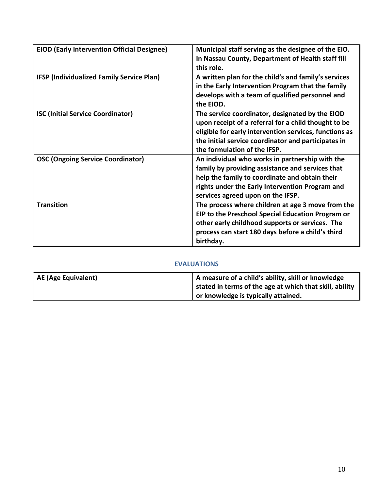| <b>EIOD (Early Intervention Official Designee)</b> | Municipal staff serving as the designee of the EIO.<br>In Nassau County, Department of Health staff fill<br>this role.                                                                                                                                   |
|----------------------------------------------------|----------------------------------------------------------------------------------------------------------------------------------------------------------------------------------------------------------------------------------------------------------|
| <b>IFSP (Individualized Family Service Plan)</b>   | A written plan for the child's and family's services<br>in the Early Intervention Program that the family<br>develops with a team of qualified personnel and<br>the EIOD.                                                                                |
| <b>ISC (Initial Service Coordinator)</b>           | The service coordinator, designated by the EIOD<br>upon receipt of a referral for a child thought to be<br>eligible for early intervention services, functions as<br>the initial service coordinator and participates in<br>the formulation of the IFSP. |
| <b>OSC (Ongoing Service Coordinator)</b>           | An individual who works in partnership with the<br>family by providing assistance and services that<br>help the family to coordinate and obtain their<br>rights under the Early Intervention Program and<br>services agreed upon on the IFSP.            |
| <b>Transition</b>                                  | The process where children at age 3 move from the<br>EIP to the Preschool Special Education Program or<br>other early childhood supports or services. The<br>process can start 180 days before a child's third<br>birthday.                              |

## **EVALUATIONS**

<span id="page-12-0"></span>

| AE (Age Equivalent) | A measure of a child's ability, skill or knowledge      |
|---------------------|---------------------------------------------------------|
|                     | stated in terms of the age at which that skill, ability |
|                     | or knowledge is typically attained.                     |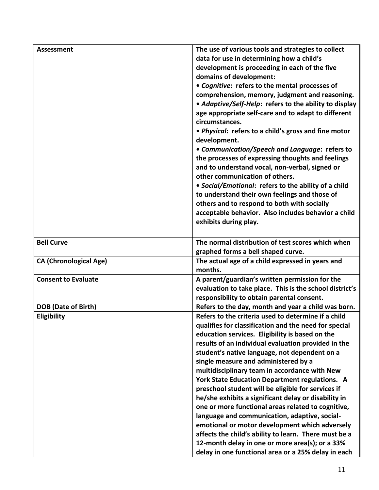| <b>Assessment</b>             | The use of various tools and strategies to collect      |
|-------------------------------|---------------------------------------------------------|
|                               | data for use in determining how a child's               |
|                               | development is proceeding in each of the five           |
|                               | domains of development:                                 |
|                               | • Cognitive: refers to the mental processes of          |
|                               | comprehension, memory, judgment and reasoning.          |
|                               | • Adaptive/Self-Help: refers to the ability to display  |
|                               | age appropriate self-care and to adapt to different     |
|                               | circumstances.                                          |
|                               | • Physical: refers to a child's gross and fine motor    |
|                               | development.                                            |
|                               | • Communication/Speech and Language: refers to          |
|                               | the processes of expressing thoughts and feelings       |
|                               | and to understand vocal, non-verbal, signed or          |
|                               | other communication of others.                          |
|                               | • Social/Emotional: refers to the ability of a child    |
|                               | to understand their own feelings and those of           |
|                               | others and to respond to both with socially             |
|                               | acceptable behavior. Also includes behavior a child     |
|                               | exhibits during play.                                   |
|                               |                                                         |
| <b>Bell Curve</b>             | The normal distribution of test scores which when       |
|                               | graphed forms a bell shaped curve.                      |
| <b>CA (Chronological Age)</b> | The actual age of a child expressed in years and        |
|                               | months.                                                 |
| <b>Consent to Evaluate</b>    | A parent/guardian's written permission for the          |
|                               | evaluation to take place. This is the school district's |
|                               | responsibility to obtain parental consent.              |
| <b>DOB</b> (Date of Birth)    | Refers to the day, month and year a child was born.     |
| Eligibility                   | Refers to the criteria used to determine if a child     |
|                               | qualifies for classification and the need for special   |
|                               | education services. Eligibility is based on the         |
|                               | results of an individual evaluation provided in the     |
|                               | student's native language, not dependent on a           |
|                               | single measure and administered by a                    |
|                               | multidisciplinary team in accordance with New           |
|                               | <b>York State Education Department regulations. A</b>   |
|                               | preschool student will be eligible for services if      |
|                               | he/she exhibits a significant delay or disability in    |
|                               | one or more functional areas related to cognitive,      |
|                               | language and communication, adaptive, social-           |
|                               | emotional or motor development which adversely          |
|                               | affects the child's ability to learn. There must be a   |
|                               | 12-month delay in one or more area(s); or a 33%         |
|                               | delay in one functional area or a 25% delay in each     |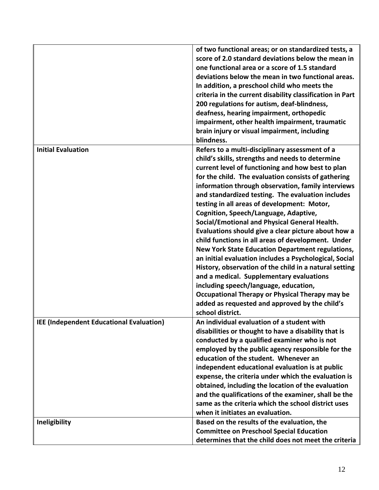|                                          | of two functional areas; or on standardized tests, a<br>score of 2.0 standard deviations below the mean in<br>one functional area or a score of 1.5 standard<br>deviations below the mean in two functional areas.<br>In addition, a preschool child who meets the<br>criteria in the current disability classification in Part<br>200 regulations for autism, deaf-blindness,<br>deafness, hearing impairment, orthopedic<br>impairment, other health impairment, traumatic<br>brain injury or visual impairment, including<br>blindness.                                                                                                                                                                                                                                                                                                                                                                                                                                   |
|------------------------------------------|------------------------------------------------------------------------------------------------------------------------------------------------------------------------------------------------------------------------------------------------------------------------------------------------------------------------------------------------------------------------------------------------------------------------------------------------------------------------------------------------------------------------------------------------------------------------------------------------------------------------------------------------------------------------------------------------------------------------------------------------------------------------------------------------------------------------------------------------------------------------------------------------------------------------------------------------------------------------------|
| <b>Initial Evaluation</b>                | Refers to a multi-disciplinary assessment of a<br>child's skills, strengths and needs to determine<br>current level of functioning and how best to plan<br>for the child. The evaluation consists of gathering<br>information through observation, family interviews<br>and standardized testing. The evaluation includes<br>testing in all areas of development: Motor,<br>Cognition, Speech/Language, Adaptive,<br>Social/Emotional and Physical General Health.<br>Evaluations should give a clear picture about how a<br>child functions in all areas of development. Under<br><b>New York State Education Department regulations,</b><br>an initial evaluation includes a Psychological, Social<br>History, observation of the child in a natural setting<br>and a medical. Supplementary evaluations<br>including speech/language, education,<br>Occupational Therapy or Physical Therapy may be<br>added as requested and approved by the child's<br>school district. |
| IEE (Independent Educational Evaluation) | An individual evaluation of a student with<br>disabilities or thought to have a disability that is<br>conducted by a qualified examiner who is not<br>employed by the public agency responsible for the<br>education of the student. Whenever an<br>independent educational evaluation is at public<br>expense, the criteria under which the evaluation is<br>obtained, including the location of the evaluation<br>and the qualifications of the examiner, shall be the<br>same as the criteria which the school district uses<br>when it initiates an evaluation.                                                                                                                                                                                                                                                                                                                                                                                                          |
| Ineligibility                            | Based on the results of the evaluation, the<br><b>Committee on Preschool Special Education</b><br>determines that the child does not meet the criteria                                                                                                                                                                                                                                                                                                                                                                                                                                                                                                                                                                                                                                                                                                                                                                                                                       |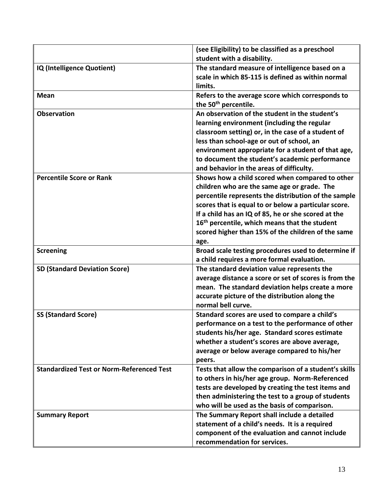|                                                  | (see Eligibility) to be classified as a preschool                                         |
|--------------------------------------------------|-------------------------------------------------------------------------------------------|
|                                                  | student with a disability.                                                                |
| IQ (Intelligence Quotient)                       | The standard measure of intelligence based on a                                           |
|                                                  | scale in which 85-115 is defined as within normal                                         |
|                                                  | limits.                                                                                   |
| <b>Mean</b>                                      | Refers to the average score which corresponds to                                          |
|                                                  | the 50 <sup>th</sup> percentile.                                                          |
| <b>Observation</b>                               | An observation of the student in the student's                                            |
|                                                  | learning environment (including the regular                                               |
|                                                  | classroom setting) or, in the case of a student of                                        |
|                                                  | less than school-age or out of school, an                                                 |
|                                                  | environment appropriate for a student of that age,                                        |
|                                                  | to document the student's academic performance                                            |
|                                                  | and behavior in the areas of difficulty.                                                  |
| <b>Percentile Score or Rank</b>                  | Shows how a child scored when compared to other                                           |
|                                                  | children who are the same age or grade. The                                               |
|                                                  | percentile represents the distribution of the sample                                      |
|                                                  | scores that is equal to or below a particular score.                                      |
|                                                  | If a child has an IQ of 85, he or she scored at the                                       |
|                                                  | 16 <sup>th</sup> percentile, which means that the student                                 |
|                                                  | scored higher than 15% of the children of the same                                        |
|                                                  | age.                                                                                      |
| <b>Screening</b>                                 | Broad scale testing procedures used to determine if                                       |
| <b>SD (Standard Deviation Score)</b>             | a child requires a more formal evaluation.<br>The standard deviation value represents the |
|                                                  | average distance a score or set of scores is from the                                     |
|                                                  | mean. The standard deviation helps create a more                                          |
|                                                  | accurate picture of the distribution along the                                            |
|                                                  | normal bell curve.                                                                        |
| <b>SS (Standard Score)</b>                       | Standard scores are used to compare a child's                                             |
|                                                  | performance on a test to the performance of other                                         |
|                                                  | students his/her age. Standard scores estimate                                            |
|                                                  | whether a student's scores are above average,                                             |
|                                                  | average or below average compared to his/her                                              |
|                                                  | peers.                                                                                    |
| <b>Standardized Test or Norm-Referenced Test</b> | Tests that allow the comparison of a student's skills                                     |
|                                                  | to others in his/her age group. Norm-Referenced                                           |
|                                                  | tests are developed by creating the test items and                                        |
|                                                  | then administering the test to a group of students                                        |
|                                                  | who will be used as the basis of comparison.                                              |
| <b>Summary Report</b>                            | The Summary Report shall include a detailed                                               |
|                                                  | statement of a child's needs. It is a required                                            |
|                                                  | component of the evaluation and cannot include                                            |
|                                                  | recommendation for services.                                                              |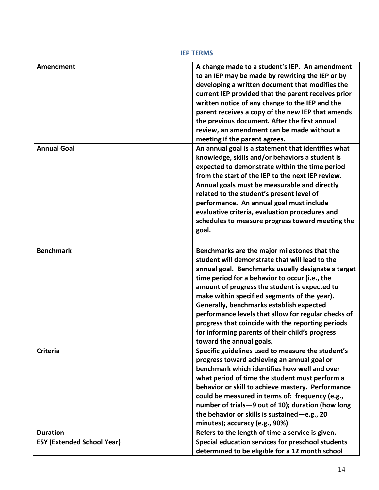**IEP TERMS**

<span id="page-16-0"></span>

| <b>Amendment</b>                  | A change made to a student's IEP. An amendment<br>to an IEP may be made by rewriting the IEP or by<br>developing a written document that modifies the<br>current IEP provided that the parent receives prior<br>written notice of any change to the IEP and the<br>parent receives a copy of the new IEP that amends<br>the previous document. After the first annual<br>review, an amendment can be made without a<br>meeting if the parent agrees.                                                                                           |
|-----------------------------------|------------------------------------------------------------------------------------------------------------------------------------------------------------------------------------------------------------------------------------------------------------------------------------------------------------------------------------------------------------------------------------------------------------------------------------------------------------------------------------------------------------------------------------------------|
| <b>Annual Goal</b>                | An annual goal is a statement that identifies what<br>knowledge, skills and/or behaviors a student is<br>expected to demonstrate within the time period<br>from the start of the IEP to the next IEP review.<br>Annual goals must be measurable and directly<br>related to the student's present level of<br>performance. An annual goal must include<br>evaluative criteria, evaluation procedures and<br>schedules to measure progress toward meeting the<br>goal.                                                                           |
| <b>Benchmark</b>                  | Benchmarks are the major milestones that the<br>student will demonstrate that will lead to the<br>annual goal. Benchmarks usually designate a target<br>time period for a behavior to occur (i.e., the<br>amount of progress the student is expected to<br>make within specified segments of the year).<br>Generally, benchmarks establish expected<br>performance levels that allow for regular checks of<br>progress that coincide with the reporting periods<br>for informing parents of their child's progress<br>toward the annual goals. |
| <b>Criteria</b>                   | Specific guidelines used to measure the student's<br>progress toward achieving an annual goal or<br>benchmark which identifies how well and over<br>what period of time the student must perform a<br>behavior or skill to achieve mastery. Performance<br>could be measured in terms of: frequency (e.g.,<br>number of trials-9 out of 10); duration (how long<br>the behavior or skills is sustained-e.g., 20<br>minutes); accuracy (e.g., 90%)                                                                                              |
| <b>Duration</b>                   | Refers to the length of time a service is given.                                                                                                                                                                                                                                                                                                                                                                                                                                                                                               |
| <b>ESY (Extended School Year)</b> | Special education services for preschool students<br>determined to be eligible for a 12 month school                                                                                                                                                                                                                                                                                                                                                                                                                                           |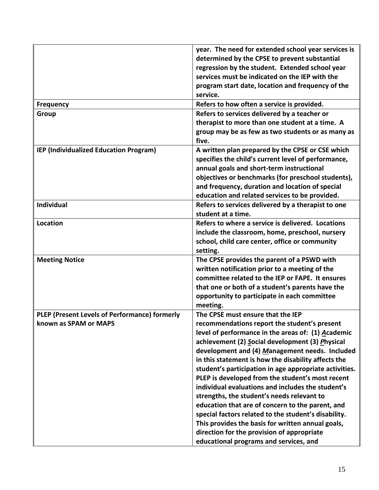|                                               | year. The need for extended school year services is    |
|-----------------------------------------------|--------------------------------------------------------|
|                                               | determined by the CPSE to prevent substantial          |
|                                               | regression by the student. Extended school year        |
|                                               | services must be indicated on the IEP with the         |
|                                               | program start date, location and frequency of the      |
|                                               | service.                                               |
| <b>Frequency</b>                              | Refers to how often a service is provided.             |
| Group                                         | Refers to services delivered by a teacher or           |
|                                               | therapist to more than one student at a time. A        |
|                                               | group may be as few as two students or as many as      |
|                                               | five.                                                  |
| IEP (Individualized Education Program)        | A written plan prepared by the CPSE or CSE which       |
|                                               | specifies the child's current level of performance,    |
|                                               | annual goals and short-term instructional              |
|                                               | objectives or benchmarks (for preschool students),     |
|                                               | and frequency, duration and location of special        |
|                                               | education and related services to be provided.         |
| Individual                                    | Refers to services delivered by a therapist to one     |
|                                               | student at a time.                                     |
| Location                                      | Refers to where a service is delivered. Locations      |
|                                               | include the classroom, home, preschool, nursery        |
|                                               | school, child care center, office or community         |
|                                               | setting.                                               |
| <b>Meeting Notice</b>                         | The CPSE provides the parent of a PSWD with            |
|                                               | written notification prior to a meeting of the         |
|                                               | committee related to the IEP or FAPE. It ensures       |
|                                               | that one or both of a student's parents have the       |
|                                               | opportunity to participate in each committee           |
|                                               | meeting.                                               |
| PLEP (Present Levels of Performance) formerly | The CPSE must ensure that the IEP                      |
| known as SPAM or MAPS                         | recommendations report the student's present           |
|                                               | level of performance in the areas of: (1) Academic     |
|                                               | achievement (2) Social development (3) Physical        |
|                                               | development and (4) Management needs. Included         |
|                                               | in this statement is how the disability affects the    |
|                                               | student's participation in age appropriate activities. |
|                                               | PLEP is developed from the student's most recent       |
|                                               | individual evaluations and includes the student's      |
|                                               | strengths, the student's needs relevant to             |
|                                               | education that are of concern to the parent, and       |
|                                               | special factors related to the student's disability.   |
|                                               | This provides the basis for written annual goals,      |
|                                               | direction for the provision of appropriate             |
|                                               |                                                        |
|                                               | educational programs and services, and                 |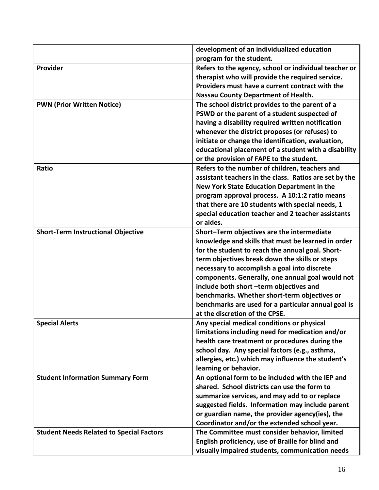|                                                 | development of an individualized education             |
|-------------------------------------------------|--------------------------------------------------------|
|                                                 | program for the student.                               |
| Provider                                        | Refers to the agency, school or individual teacher or  |
|                                                 | therapist who will provide the required service.       |
|                                                 | Providers must have a current contract with the        |
|                                                 | <b>Nassau County Department of Health.</b>             |
| <b>PWN (Prior Written Notice)</b>               | The school district provides to the parent of a        |
|                                                 | PSWD or the parent of a student suspected of           |
|                                                 | having a disability required written notification      |
|                                                 | whenever the district proposes (or refuses) to         |
|                                                 | initiate or change the identification, evaluation,     |
|                                                 | educational placement of a student with a disability   |
|                                                 | or the provision of FAPE to the student.               |
| Ratio                                           | Refers to the number of children, teachers and         |
|                                                 | assistant teachers in the class. Ratios are set by the |
|                                                 | New York State Education Department in the             |
|                                                 | program approval process. A 10:1:2 ratio means         |
|                                                 | that there are 10 students with special needs, 1       |
|                                                 | special education teacher and 2 teacher assistants     |
|                                                 | or aides.                                              |
| <b>Short-Term Instructional Objective</b>       | Short-Term objectives are the intermediate             |
|                                                 | knowledge and skills that must be learned in order     |
|                                                 | for the student to reach the annual goal. Short-       |
|                                                 | term objectives break down the skills or steps         |
|                                                 | necessary to accomplish a goal into discrete           |
|                                                 | components. Generally, one annual goal would not       |
|                                                 | include both short -term objectives and                |
|                                                 | benchmarks. Whether short-term objectives or           |
|                                                 | benchmarks are used for a particular annual goal is    |
|                                                 | at the discretion of the CPSE.                         |
| <b>Special Alerts</b>                           | Any special medical conditions or physical             |
|                                                 | limitations including need for medication and/or       |
|                                                 | health care treatment or procedures during the         |
|                                                 | school day. Any special factors (e.g., asthma,         |
|                                                 | allergies, etc.) which may influence the student's     |
|                                                 | learning or behavior.                                  |
| <b>Student Information Summary Form</b>         | An optional form to be included with the IEP and       |
|                                                 | shared. School districts can use the form to           |
|                                                 | summarize services, and may add to or replace          |
|                                                 | suggested fields. Information may include parent       |
|                                                 | or guardian name, the provider agency(ies), the        |
|                                                 | Coordinator and/or the extended school year.           |
| <b>Student Needs Related to Special Factors</b> | The Committee must consider behavior, limited          |
|                                                 | English proficiency, use of Braille for blind and      |
|                                                 | visually impaired students, communication needs        |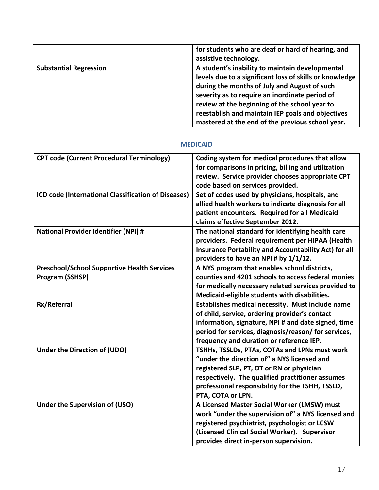|                               | for students who are deaf or hard of hearing, and<br>assistive technology.                                                                                                                                                                                                                                                                                             |
|-------------------------------|------------------------------------------------------------------------------------------------------------------------------------------------------------------------------------------------------------------------------------------------------------------------------------------------------------------------------------------------------------------------|
| <b>Substantial Regression</b> | A student's inability to maintain developmental<br>levels due to a significant loss of skills or knowledge<br>during the months of July and August of such<br>severity as to require an inordinate period of<br>review at the beginning of the school year to<br>reestablish and maintain IEP goals and objectives<br>mastered at the end of the previous school year. |

#### **MEDICAID**

<span id="page-19-0"></span>

| <b>CPT code (Current Procedural Terminology)</b>                      | Coding system for medical procedures that allow<br>for comparisons in pricing, billing and utilization<br>review. Service provider chooses appropriate CPT<br>code based on services provided.                                                                         |
|-----------------------------------------------------------------------|------------------------------------------------------------------------------------------------------------------------------------------------------------------------------------------------------------------------------------------------------------------------|
| ICD code (International Classification of Diseases)                   | Set of codes used by physicians, hospitals, and<br>allied health workers to indicate diagnosis for all<br>patient encounters. Required for all Medicaid<br>claims effective September 2012.                                                                            |
| National Provider Identifier (NPI) #                                  | The national standard for identifying health care<br>providers. Federal requirement per HIPAA (Health<br>Insurance Portability and Accountability Act) for all<br>providers to have an NPI # by 1/1/12.                                                                |
| <b>Preschool/School Supportive Health Services</b><br>Program (SSHSP) | A NYS program that enables school districts,<br>counties and 4201 schools to access federal monies<br>for medically necessary related services provided to<br>Medicaid-eligible students with disabilities.                                                            |
| Rx/Referral                                                           | Establishes medical necessity. Must include name<br>of child, service, ordering provider's contact<br>information, signature, NPI # and date signed, time<br>period for services, diagnosis/reason/for services,<br>frequency and duration or reference IEP.           |
| Under the Direction of (UDO)                                          | TSHHs, TSSLDs, PTAs, COTAs and LPNs must work<br>"under the direction of" a NYS licensed and<br>registered SLP, PT, OT or RN or physician<br>respectively. The qualified practitioner assumes<br>professional responsibility for the TSHH, TSSLD,<br>PTA, COTA or LPN. |
| Under the Supervision of (USO)                                        | A Licensed Master Social Worker (LMSW) must<br>work "under the supervision of" a NYS licensed and<br>registered psychiatrist, psychologist or LCSW<br>(Licensed Clinical Social Worker). Supervisor<br>provides direct in-person supervision.                          |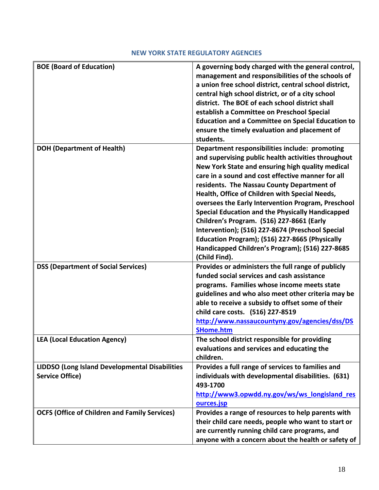# **NEW YORK STATE REGULATORY AGENCIES**

<span id="page-20-0"></span>

| <b>BOE (Board of Education)</b>                                                 | A governing body charged with the general control,<br>management and responsibilities of the schools of<br>a union free school district, central school district,<br>central high school district, or of a city school<br>district. The BOE of each school district shall<br>establish a Committee on Preschool Special<br><b>Education and a Committee on Special Education to</b><br>ensure the timely evaluation and placement of<br>students.                                                                                                                                                                                               |
|---------------------------------------------------------------------------------|-------------------------------------------------------------------------------------------------------------------------------------------------------------------------------------------------------------------------------------------------------------------------------------------------------------------------------------------------------------------------------------------------------------------------------------------------------------------------------------------------------------------------------------------------------------------------------------------------------------------------------------------------|
| <b>DOH (Department of Health)</b>                                               | Department responsibilities include: promoting<br>and supervising public health activities throughout<br>New York State and ensuring high quality medical<br>care in a sound and cost effective manner for all<br>residents. The Nassau County Department of<br>Health, Office of Children with Special Needs,<br>oversees the Early Intervention Program, Preschool<br>Special Education and the Physically Handicapped<br>Children's Program. (516) 227-8661 (Early<br>Intervention); (516) 227-8674 (Preschool Special<br>Education Program); (516) 227-8665 (Physically<br>Handicapped Children's Program); (516) 227-8685<br>(Child Find). |
| <b>DSS (Department of Social Services)</b>                                      | Provides or administers the full range of publicly<br>funded social services and cash assistance<br>programs. Families whose income meets state<br>guidelines and who also meet other criteria may be<br>able to receive a subsidy to offset some of their<br>child care costs. (516) 227-8519<br>http://www.nassaucountyny.gov/agencies/dss/DS<br><b>SHome.htm</b>                                                                                                                                                                                                                                                                             |
| <b>LEA (Local Education Agency)</b>                                             | The school district responsible for providing<br>evaluations and services and educating the<br>children.                                                                                                                                                                                                                                                                                                                                                                                                                                                                                                                                        |
| <b>LIDDSO (Long Island Developmental Disabilities</b><br><b>Service Office)</b> | Provides a full range of services to families and<br>individuals with developmental disabilities. (631)<br>493-1700<br>http://www3.opwdd.ny.gov/ws/ws_longisland_res<br>ources.jsp                                                                                                                                                                                                                                                                                                                                                                                                                                                              |
| <b>OCFS (Office of Children and Family Services)</b>                            | Provides a range of resources to help parents with<br>their child care needs, people who want to start or<br>are currently running child care programs, and<br>anyone with a concern about the health or safety of                                                                                                                                                                                                                                                                                                                                                                                                                              |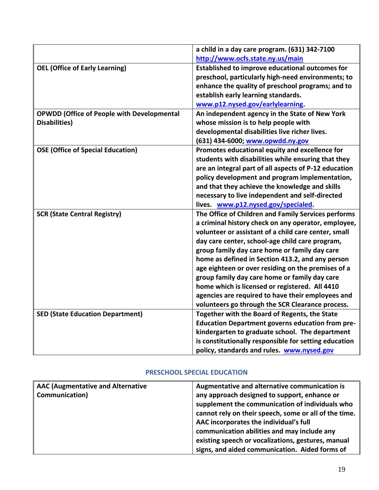|                                                   | a child in a day care program. (631) 342-7100           |
|---------------------------------------------------|---------------------------------------------------------|
|                                                   | http://www.ocfs.state.ny.us/main                        |
| <b>OEL (Office of Early Learning)</b>             | <b>Established to improve educational outcomes for</b>  |
|                                                   | preschool, particularly high-need environments; to      |
|                                                   | enhance the quality of preschool programs; and to       |
|                                                   | establish early learning standards.                     |
|                                                   | www.p12.nysed.gov/earlylearning.                        |
| <b>OPWDD (Office of People with Developmental</b> | An independent agency in the State of New York          |
| <b>Disabilities</b> )                             | whose mission is to help people with                    |
|                                                   | developmental disabilities live richer lives.           |
|                                                   | (631) 434-6000; www.opwdd.ny.gov                        |
| <b>OSE (Office of Special Education)</b>          | Promotes educational equity and excellence for          |
|                                                   | students with disabilities while ensuring that they     |
|                                                   | are an integral part of all aspects of P-12 education   |
|                                                   | policy development and program implementation,          |
|                                                   | and that they achieve the knowledge and skills          |
|                                                   | necessary to live independent and self-directed         |
|                                                   | lives. www.p12.nysed.gov/specialed.                     |
| <b>SCR (State Central Registry)</b>               | The Office of Children and Family Services performs     |
|                                                   | a criminal history check on any operator, employee,     |
|                                                   | volunteer or assistant of a child care center, small    |
|                                                   | day care center, school-age child care program,         |
|                                                   | group family day care home or family day care           |
|                                                   | home as defined in Section 413.2, and any person        |
|                                                   | age eighteen or over residing on the premises of a      |
|                                                   | group family day care home or family day care           |
|                                                   | home which is licensed or registered. All 4410          |
|                                                   | agencies are required to have their employees and       |
|                                                   | volunteers go through the SCR Clearance process.        |
| <b>SED (State Education Department)</b>           | Together with the Board of Regents, the State           |
|                                                   | <b>Education Department governs education from pre-</b> |
|                                                   | kindergarten to graduate school. The department         |
|                                                   | is constitutionally responsible for setting education   |
|                                                   | policy, standards and rules. www.nysed.gov              |

### **PRESCHOOL SPECIAL EDUCATION**

<span id="page-21-0"></span>

| <b>AAC (Augmentative and Alternative</b> | Augmentative and alternative communication is         |
|------------------------------------------|-------------------------------------------------------|
| Communication)                           | any approach designed to support, enhance or          |
|                                          | supplement the communication of individuals who       |
|                                          | cannot rely on their speech, some or all of the time. |
|                                          | AAC incorporates the individual's full                |
|                                          | communication abilities and may include any           |
|                                          | existing speech or vocalizations, gestures, manual    |
|                                          | signs, and aided communication. Aided forms of        |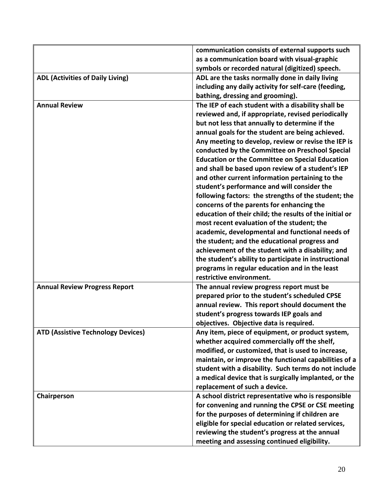|                                           | communication consists of external supports such        |
|-------------------------------------------|---------------------------------------------------------|
|                                           | as a communication board with visual-graphic            |
|                                           | symbols or recorded natural (digitized) speech.         |
| <b>ADL (Activities of Daily Living)</b>   | ADL are the tasks normally done in daily living         |
|                                           | including any daily activity for self-care (feeding,    |
|                                           | bathing, dressing and grooming).                        |
| <b>Annual Review</b>                      | The IEP of each student with a disability shall be      |
|                                           | reviewed and, if appropriate, revised periodically      |
|                                           | but not less that annually to determine if the          |
|                                           | annual goals for the student are being achieved.        |
|                                           | Any meeting to develop, review or revise the IEP is     |
|                                           | conducted by the Committee on Preschool Special         |
|                                           | <b>Education or the Committee on Special Education</b>  |
|                                           | and shall be based upon review of a student's IEP       |
|                                           | and other current information pertaining to the         |
|                                           | student's performance and will consider the             |
|                                           | following factors: the strengths of the student; the    |
|                                           | concerns of the parents for enhancing the               |
|                                           | education of their child; the results of the initial or |
|                                           | most recent evaluation of the student; the              |
|                                           | academic, developmental and functional needs of         |
|                                           | the student; and the educational progress and           |
|                                           | achievement of the student with a disability; and       |
|                                           | the student's ability to participate in instructional   |
|                                           | programs in regular education and in the least          |
|                                           | restrictive environment.                                |
| <b>Annual Review Progress Report</b>      | The annual review progress report must be               |
|                                           | prepared prior to the student's scheduled CPSE          |
|                                           | annual review. This report should document the          |
|                                           | student's progress towards IEP goals and                |
|                                           | objectives. Objective data is required.                 |
| <b>ATD (Assistive Technology Devices)</b> | Any item, piece of equipment, or product system,        |
|                                           | whether acquired commercially off the shelf,            |
|                                           | modified, or customized, that is used to increase,      |
|                                           | maintain, or improve the functional capabilities of a   |
|                                           | student with a disability. Such terms do not include    |
|                                           | a medical device that is surgically implanted, or the   |
|                                           | replacement of such a device.                           |
| Chairperson                               | A school district representative who is responsible     |
|                                           | for convening and running the CPSE or CSE meeting       |
|                                           | for the purposes of determining if children are         |
|                                           | eligible for special education or related services,     |
|                                           | reviewing the student's progress at the annual          |
|                                           | meeting and assessing continued eligibility.            |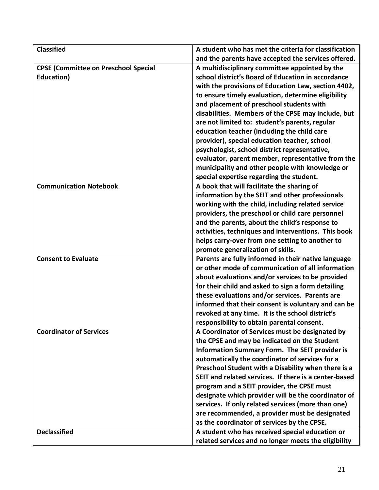| <b>Classified</b>                           | A student who has met the criteria for classification |
|---------------------------------------------|-------------------------------------------------------|
|                                             | and the parents have accepted the services offered.   |
| <b>CPSE (Committee on Preschool Special</b> | A multidisciplinary committee appointed by the        |
| Education)                                  | school district's Board of Education in accordance    |
|                                             | with the provisions of Education Law, section 4402,   |
|                                             | to ensure timely evaluation, determine eligibility    |
|                                             | and placement of preschool students with              |
|                                             | disabilities. Members of the CPSE may include, but    |
|                                             | are not limited to: student's parents, regular        |
|                                             | education teacher (including the child care           |
|                                             | provider), special education teacher, school          |
|                                             | psychologist, school district representative,         |
|                                             | evaluator, parent member, representative from the     |
|                                             | municipality and other people with knowledge or       |
|                                             | special expertise regarding the student.              |
| <b>Communication Notebook</b>               | A book that will facilitate the sharing of            |
|                                             | information by the SEIT and other professionals       |
|                                             | working with the child, including related service     |
|                                             | providers, the preschool or child care personnel      |
|                                             | and the parents, about the child's response to        |
|                                             | activities, techniques and interventions. This book   |
|                                             | helps carry-over from one setting to another to       |
|                                             | promote generalization of skills.                     |
| <b>Consent to Evaluate</b>                  | Parents are fully informed in their native language   |
|                                             | or other mode of communication of all information     |
|                                             | about evaluations and/or services to be provided      |
|                                             | for their child and asked to sign a form detailing    |
|                                             | these evaluations and/or services. Parents are        |
|                                             | informed that their consent is voluntary and can be   |
|                                             | revoked at any time. It is the school district's      |
|                                             | responsibility to obtain parental consent.            |
| <b>Coordinator of Services</b>              | A Coordinator of Services must be designated by       |
|                                             | the CPSE and may be indicated on the Student          |
|                                             | <b>Information Summary Form. The SEIT provider is</b> |
|                                             | automatically the coordinator of services for a       |
|                                             | Preschool Student with a Disability when there is a   |
|                                             | SEIT and related services. If there is a center-based |
|                                             | program and a SEIT provider, the CPSE must            |
|                                             | designate which provider will be the coordinator of   |
|                                             | services. If only related services (more than one)    |
|                                             | are recommended, a provider must be designated        |
|                                             | as the coordinator of services by the CPSE.           |
| <b>Declassified</b>                         | A student who has received special education or       |
|                                             | related services and no longer meets the eligibility  |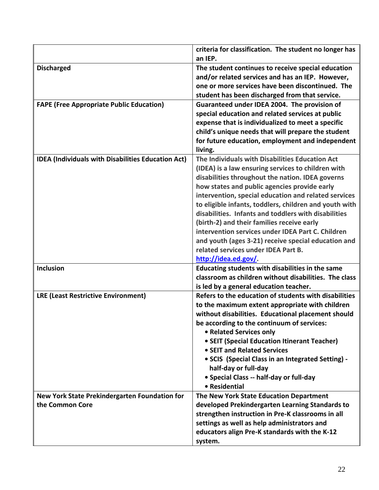|                                                                  | criteria for classification. The student no longer has<br>an IEP.                                                                                                                                                                                                                                                                                                                                                                                                                                                                                                                                            |
|------------------------------------------------------------------|--------------------------------------------------------------------------------------------------------------------------------------------------------------------------------------------------------------------------------------------------------------------------------------------------------------------------------------------------------------------------------------------------------------------------------------------------------------------------------------------------------------------------------------------------------------------------------------------------------------|
| <b>Discharged</b>                                                | The student continues to receive special education<br>and/or related services and has an IEP. However,<br>one or more services have been discontinued. The<br>student has been discharged from that service.                                                                                                                                                                                                                                                                                                                                                                                                 |
| <b>FAPE (Free Appropriate Public Education)</b>                  | Guaranteed under IDEA 2004. The provision of<br>special education and related services at public<br>expense that is individualized to meet a specific<br>child's unique needs that will prepare the student<br>for future education, employment and independent<br>living.                                                                                                                                                                                                                                                                                                                                   |
| <b>IDEA (Individuals with Disabilities Education Act)</b>        | The Individuals with Disabilities Education Act<br>(IDEA) is a law ensuring services to children with<br>disabilities throughout the nation. IDEA governs<br>how states and public agencies provide early<br>intervention, special education and related services<br>to eligible infants, toddlers, children and youth with<br>disabilities. Infants and toddlers with disabilities<br>(birth-2) and their families receive early<br>intervention services under IDEA Part C. Children<br>and youth (ages 3-21) receive special education and<br>related services under IDEA Part B.<br>http://idea.ed.gov/. |
| Inclusion                                                        | Educating students with disabilities in the same<br>classroom as children without disabilities. The class<br>is led by a general education teacher.                                                                                                                                                                                                                                                                                                                                                                                                                                                          |
| <b>LRE (Least Restrictive Environment)</b>                       | Refers to the education of students with disabilities<br>to the maximum extent appropriate with children<br>without disabilities. Educational placement should<br>be according to the continuum of services:<br>• Related Services only<br>• SEIT (Special Education Itinerant Teacher)<br>• SEIT and Related Services<br>• SCIS (Special Class in an Integrated Setting) -<br>half-day or full-day<br>· Special Class -- half-day or full-day<br>• Residential                                                                                                                                              |
| New York State Prekindergarten Foundation for<br>the Common Core | The New York State Education Department<br>developed Prekindergarten Learning Standards to<br>strengthen instruction in Pre-K classrooms in all<br>settings as well as help administrators and<br>educators align Pre-K standards with the K-12<br>system.                                                                                                                                                                                                                                                                                                                                                   |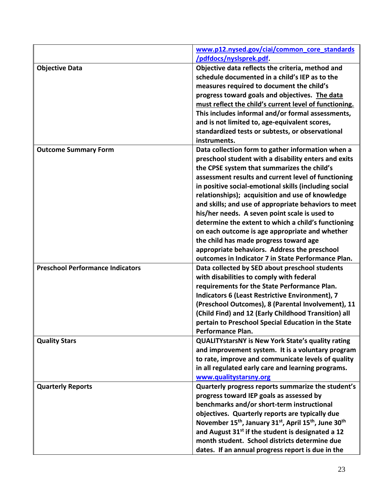|                                         | www.p12.nysed.gov/ciai/common core standards                                                             |
|-----------------------------------------|----------------------------------------------------------------------------------------------------------|
|                                         | /pdfdocs/nyslsprek.pdf.                                                                                  |
| <b>Objective Data</b>                   | Objective data reflects the criteria, method and                                                         |
|                                         | schedule documented in a child's IEP as to the                                                           |
|                                         | measures required to document the child's                                                                |
|                                         | progress toward goals and objectives. The data                                                           |
|                                         | must reflect the child's current level of functioning.                                                   |
|                                         | This includes informal and/or formal assessments,                                                        |
|                                         | and is not limited to, age-equivalent scores,                                                            |
|                                         | standardized tests or subtests, or observational                                                         |
|                                         | instruments.                                                                                             |
| <b>Outcome Summary Form</b>             | Data collection form to gather information when a                                                        |
|                                         | preschool student with a disability enters and exits                                                     |
|                                         | the CPSE system that summarizes the child's<br>assessment results and current level of functioning       |
|                                         | in positive social-emotional skills (including social                                                    |
|                                         | relationships); acquisition and use of knowledge                                                         |
|                                         | and skills; and use of appropriate behaviors to meet                                                     |
|                                         | his/her needs. A seven point scale is used to                                                            |
|                                         | determine the extent to which a child's functioning                                                      |
|                                         | on each outcome is age appropriate and whether                                                           |
|                                         | the child has made progress toward age                                                                   |
|                                         | appropriate behaviors. Address the preschool                                                             |
|                                         | outcomes in Indicator 7 in State Performance Plan.                                                       |
| <b>Preschool Performance Indicators</b> | Data collected by SED about preschool students                                                           |
|                                         | with disabilities to comply with federal                                                                 |
|                                         | requirements for the State Performance Plan.                                                             |
|                                         | <b>Indicators 6 (Least Restrictive Environment), 7</b>                                                   |
|                                         | (Preschool Outcomes), 8 (Parental Involvement), 11                                                       |
|                                         | (Child Find) and 12 (Early Childhood Transition) all                                                     |
|                                         | pertain to Preschool Special Education in the State                                                      |
|                                         | <b>Performance Plan.</b>                                                                                 |
| <b>Quality Stars</b>                    | <b>QUALITYstarsNY is New York State's quality rating</b>                                                 |
|                                         | and improvement system. It is a voluntary program                                                        |
|                                         | to rate, improve and communicate levels of quality<br>in all regulated early care and learning programs. |
|                                         | www.qualitystarsny.org                                                                                   |
| <b>Quarterly Reports</b>                | Quarterly progress reports summarize the student's                                                       |
|                                         | progress toward IEP goals as assessed by                                                                 |
|                                         | benchmarks and/or short-term instructional                                                               |
|                                         | objectives. Quarterly reports are typically due                                                          |
|                                         | November 15 <sup>th</sup> , January 31 <sup>st</sup> , April 15 <sup>th</sup> , June 30 <sup>th</sup>    |
|                                         | and August 31 <sup>st</sup> if the student is designated a 12                                            |
|                                         | month student. School districts determine due                                                            |
|                                         | dates. If an annual progress report is due in the                                                        |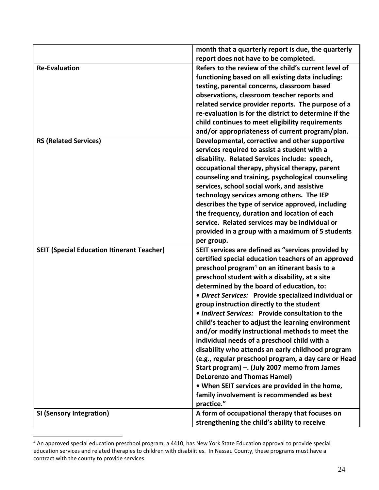|                                                   | month that a quarterly report is due, the quarterly                                           |
|---------------------------------------------------|-----------------------------------------------------------------------------------------------|
| <b>Re-Evaluation</b>                              | report does not have to be completed.<br>Refers to the review of the child's current level of |
|                                                   | functioning based on all existing data including:                                             |
|                                                   | testing, parental concerns, classroom based                                                   |
|                                                   | observations, classroom teacher reports and                                                   |
|                                                   | related service provider reports. The purpose of a                                            |
|                                                   | re-evaluation is for the district to determine if the                                         |
|                                                   | child continues to meet eligibility requirements                                              |
|                                                   | and/or appropriateness of current program/plan.                                               |
| <b>RS (Related Services)</b>                      | Developmental, corrective and other supportive                                                |
|                                                   | services required to assist a student with a                                                  |
|                                                   | disability. Related Services include: speech,                                                 |
|                                                   | occupational therapy, physical therapy, parent                                                |
|                                                   | counseling and training, psychological counseling                                             |
|                                                   | services, school social work, and assistive                                                   |
|                                                   | technology services among others. The IEP                                                     |
|                                                   | describes the type of service approved, including                                             |
|                                                   | the frequency, duration and location of each                                                  |
|                                                   | service. Related services may be individual or                                                |
|                                                   | provided in a group with a maximum of 5 students                                              |
|                                                   | per group.                                                                                    |
| <b>SEIT (Special Education Itinerant Teacher)</b> | SEIT services are defined as "services provided by                                            |
|                                                   | certified special education teachers of an approved                                           |
|                                                   | preschool program <sup>4</sup> on an itinerant basis to a                                     |
|                                                   | preschool student with a disability, at a site                                                |
|                                                   | determined by the board of education, to:                                                     |
|                                                   | · Direct Services: Provide specialized individual or                                          |
|                                                   | group instruction directly to the student<br>• Indirect Services: Provide consultation to the |
|                                                   | child's teacher to adjust the learning environment                                            |
|                                                   | and/or modify instructional methods to meet the                                               |
|                                                   | individual needs of a preschool child with a                                                  |
|                                                   | disability who attends an early childhood program                                             |
|                                                   | (e.g., regular preschool program, a day care or Head                                          |
|                                                   | Start program) -. (July 2007 memo from James                                                  |
|                                                   | <b>DeLorenzo and Thomas Hamel)</b>                                                            |
|                                                   | . When SEIT services are provided in the home,                                                |
|                                                   | family involvement is recommended as best                                                     |
|                                                   | practice."                                                                                    |
| <b>SI (Sensory Integration)</b>                   | A form of occupational therapy that focuses on                                                |
|                                                   | strengthening the child's ability to receive                                                  |

 $^4$  An approved special education preschool program, a 4410, has New York State Education approval to provide special education services and related therapies to children with disabilities. In Nassau County, these programs must have a contract with the county to provide services.

 $\overline{a}$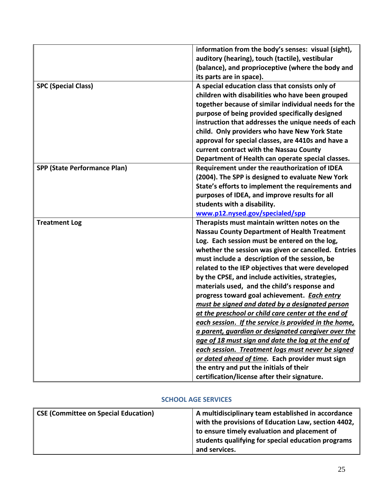|                                     | information from the body's senses: visual (sight),<br>auditory (hearing), touch (tactile), vestibular<br>(balance), and proprioceptive (where the body and |
|-------------------------------------|-------------------------------------------------------------------------------------------------------------------------------------------------------------|
|                                     | its parts are in space).                                                                                                                                    |
| <b>SPC (Special Class)</b>          | A special education class that consists only of                                                                                                             |
|                                     | children with disabilities who have been grouped                                                                                                            |
|                                     | together because of similar individual needs for the                                                                                                        |
|                                     | purpose of being provided specifically designed                                                                                                             |
|                                     | instruction that addresses the unique needs of each                                                                                                         |
|                                     | child. Only providers who have New York State                                                                                                               |
|                                     | approval for special classes, are 4410s and have a                                                                                                          |
|                                     | current contract with the Nassau County                                                                                                                     |
|                                     | Department of Health can operate special classes.                                                                                                           |
| <b>SPP (State Performance Plan)</b> | Requirement under the reauthorization of IDEA                                                                                                               |
|                                     | (2004). The SPP is designed to evaluate New York                                                                                                            |
|                                     | State's efforts to implement the requirements and                                                                                                           |
|                                     | purposes of IDEA, and improve results for all                                                                                                               |
|                                     | students with a disability.                                                                                                                                 |
|                                     | www.p12.nysed.gov/specialed/spp                                                                                                                             |
| <b>Treatment Log</b>                | Therapists must maintain written notes on the                                                                                                               |
|                                     | <b>Nassau County Department of Health Treatment</b>                                                                                                         |
|                                     | Log. Each session must be entered on the log,                                                                                                               |
|                                     | whether the session was given or cancelled. Entries                                                                                                         |
|                                     | must include a description of the session, be                                                                                                               |
|                                     | related to the IEP objectives that were developed                                                                                                           |
|                                     | by the CPSE, and include activities, strategies,                                                                                                            |
|                                     | materials used, and the child's response and                                                                                                                |
|                                     | progress toward goal achievement. Each entry                                                                                                                |
|                                     | must be signed and dated by a designated person                                                                                                             |
|                                     | at the preschool or child care center at the end of                                                                                                         |
|                                     | <u>each session. If the service is provided in the home,</u>                                                                                                |
|                                     | a parent, guardian or designated caregiver over the                                                                                                         |
|                                     | age of 18 must sign and date the log at the end of                                                                                                          |
|                                     | each session. Treatment logs must never be signed                                                                                                           |
|                                     | or dated ahead of time. Each provider must sign                                                                                                             |
|                                     | the entry and put the initials of their                                                                                                                     |
|                                     | certification/license after their signature.                                                                                                                |

# **SCHOOL AGE SERVICES**

<span id="page-27-0"></span>

| <b>CSE (Committee on Special Education)</b> | A multidisciplinary team established in accordance  |
|---------------------------------------------|-----------------------------------------------------|
|                                             | with the provisions of Education Law, section 4402, |
|                                             | to ensure timely evaluation and placement of        |
|                                             | students qualifying for special education programs  |
|                                             | and services.                                       |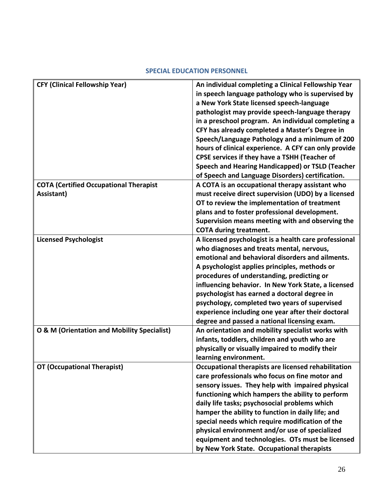<span id="page-28-0"></span>

| <b>CFY (Clinical Fellowship Year)</b>                                             | An individual completing a Clinical Fellowship Year                                                                                                                                                                                                                                                                                                                                                                                                                                                                                                                                                                                                                                                                                                                                                                                                                                                                                                                                                                                                                       |
|-----------------------------------------------------------------------------------|---------------------------------------------------------------------------------------------------------------------------------------------------------------------------------------------------------------------------------------------------------------------------------------------------------------------------------------------------------------------------------------------------------------------------------------------------------------------------------------------------------------------------------------------------------------------------------------------------------------------------------------------------------------------------------------------------------------------------------------------------------------------------------------------------------------------------------------------------------------------------------------------------------------------------------------------------------------------------------------------------------------------------------------------------------------------------|
|                                                                                   | in speech language pathology who is supervised by                                                                                                                                                                                                                                                                                                                                                                                                                                                                                                                                                                                                                                                                                                                                                                                                                                                                                                                                                                                                                         |
|                                                                                   | a New York State licensed speech-language                                                                                                                                                                                                                                                                                                                                                                                                                                                                                                                                                                                                                                                                                                                                                                                                                                                                                                                                                                                                                                 |
|                                                                                   | pathologist may provide speech-language therapy                                                                                                                                                                                                                                                                                                                                                                                                                                                                                                                                                                                                                                                                                                                                                                                                                                                                                                                                                                                                                           |
|                                                                                   | in a preschool program. An individual completing a                                                                                                                                                                                                                                                                                                                                                                                                                                                                                                                                                                                                                                                                                                                                                                                                                                                                                                                                                                                                                        |
|                                                                                   | CFY has already completed a Master's Degree in                                                                                                                                                                                                                                                                                                                                                                                                                                                                                                                                                                                                                                                                                                                                                                                                                                                                                                                                                                                                                            |
|                                                                                   | Speech/Language Pathology and a minimum of 200                                                                                                                                                                                                                                                                                                                                                                                                                                                                                                                                                                                                                                                                                                                                                                                                                                                                                                                                                                                                                            |
|                                                                                   | hours of clinical experience. A CFY can only provide                                                                                                                                                                                                                                                                                                                                                                                                                                                                                                                                                                                                                                                                                                                                                                                                                                                                                                                                                                                                                      |
|                                                                                   | CPSE services if they have a TSHH (Teacher of                                                                                                                                                                                                                                                                                                                                                                                                                                                                                                                                                                                                                                                                                                                                                                                                                                                                                                                                                                                                                             |
|                                                                                   | Speech and Hearing Handicapped) or TSLD (Teacher                                                                                                                                                                                                                                                                                                                                                                                                                                                                                                                                                                                                                                                                                                                                                                                                                                                                                                                                                                                                                          |
|                                                                                   | of Speech and Language Disorders) certification.                                                                                                                                                                                                                                                                                                                                                                                                                                                                                                                                                                                                                                                                                                                                                                                                                                                                                                                                                                                                                          |
| <b>COTA (Certified Occupational Therapist</b>                                     | A COTA is an occupational therapy assistant who                                                                                                                                                                                                                                                                                                                                                                                                                                                                                                                                                                                                                                                                                                                                                                                                                                                                                                                                                                                                                           |
| Assistant)                                                                        | must receive direct supervision (UDO) by a licensed                                                                                                                                                                                                                                                                                                                                                                                                                                                                                                                                                                                                                                                                                                                                                                                                                                                                                                                                                                                                                       |
|                                                                                   | OT to review the implementation of treatment                                                                                                                                                                                                                                                                                                                                                                                                                                                                                                                                                                                                                                                                                                                                                                                                                                                                                                                                                                                                                              |
|                                                                                   | plans and to foster professional development.                                                                                                                                                                                                                                                                                                                                                                                                                                                                                                                                                                                                                                                                                                                                                                                                                                                                                                                                                                                                                             |
|                                                                                   | Supervision means meeting with and observing the                                                                                                                                                                                                                                                                                                                                                                                                                                                                                                                                                                                                                                                                                                                                                                                                                                                                                                                                                                                                                          |
|                                                                                   | <b>COTA during treatment.</b>                                                                                                                                                                                                                                                                                                                                                                                                                                                                                                                                                                                                                                                                                                                                                                                                                                                                                                                                                                                                                                             |
| <b>Licensed Psychologist</b>                                                      | A licensed psychologist is a health care professional                                                                                                                                                                                                                                                                                                                                                                                                                                                                                                                                                                                                                                                                                                                                                                                                                                                                                                                                                                                                                     |
|                                                                                   | who diagnoses and treats mental, nervous,                                                                                                                                                                                                                                                                                                                                                                                                                                                                                                                                                                                                                                                                                                                                                                                                                                                                                                                                                                                                                                 |
|                                                                                   | emotional and behavioral disorders and ailments.                                                                                                                                                                                                                                                                                                                                                                                                                                                                                                                                                                                                                                                                                                                                                                                                                                                                                                                                                                                                                          |
|                                                                                   |                                                                                                                                                                                                                                                                                                                                                                                                                                                                                                                                                                                                                                                                                                                                                                                                                                                                                                                                                                                                                                                                           |
|                                                                                   |                                                                                                                                                                                                                                                                                                                                                                                                                                                                                                                                                                                                                                                                                                                                                                                                                                                                                                                                                                                                                                                                           |
|                                                                                   |                                                                                                                                                                                                                                                                                                                                                                                                                                                                                                                                                                                                                                                                                                                                                                                                                                                                                                                                                                                                                                                                           |
|                                                                                   |                                                                                                                                                                                                                                                                                                                                                                                                                                                                                                                                                                                                                                                                                                                                                                                                                                                                                                                                                                                                                                                                           |
|                                                                                   |                                                                                                                                                                                                                                                                                                                                                                                                                                                                                                                                                                                                                                                                                                                                                                                                                                                                                                                                                                                                                                                                           |
|                                                                                   |                                                                                                                                                                                                                                                                                                                                                                                                                                                                                                                                                                                                                                                                                                                                                                                                                                                                                                                                                                                                                                                                           |
|                                                                                   |                                                                                                                                                                                                                                                                                                                                                                                                                                                                                                                                                                                                                                                                                                                                                                                                                                                                                                                                                                                                                                                                           |
|                                                                                   |                                                                                                                                                                                                                                                                                                                                                                                                                                                                                                                                                                                                                                                                                                                                                                                                                                                                                                                                                                                                                                                                           |
|                                                                                   |                                                                                                                                                                                                                                                                                                                                                                                                                                                                                                                                                                                                                                                                                                                                                                                                                                                                                                                                                                                                                                                                           |
|                                                                                   |                                                                                                                                                                                                                                                                                                                                                                                                                                                                                                                                                                                                                                                                                                                                                                                                                                                                                                                                                                                                                                                                           |
|                                                                                   |                                                                                                                                                                                                                                                                                                                                                                                                                                                                                                                                                                                                                                                                                                                                                                                                                                                                                                                                                                                                                                                                           |
|                                                                                   |                                                                                                                                                                                                                                                                                                                                                                                                                                                                                                                                                                                                                                                                                                                                                                                                                                                                                                                                                                                                                                                                           |
|                                                                                   |                                                                                                                                                                                                                                                                                                                                                                                                                                                                                                                                                                                                                                                                                                                                                                                                                                                                                                                                                                                                                                                                           |
|                                                                                   |                                                                                                                                                                                                                                                                                                                                                                                                                                                                                                                                                                                                                                                                                                                                                                                                                                                                                                                                                                                                                                                                           |
|                                                                                   |                                                                                                                                                                                                                                                                                                                                                                                                                                                                                                                                                                                                                                                                                                                                                                                                                                                                                                                                                                                                                                                                           |
|                                                                                   |                                                                                                                                                                                                                                                                                                                                                                                                                                                                                                                                                                                                                                                                                                                                                                                                                                                                                                                                                                                                                                                                           |
|                                                                                   |                                                                                                                                                                                                                                                                                                                                                                                                                                                                                                                                                                                                                                                                                                                                                                                                                                                                                                                                                                                                                                                                           |
|                                                                                   |                                                                                                                                                                                                                                                                                                                                                                                                                                                                                                                                                                                                                                                                                                                                                                                                                                                                                                                                                                                                                                                                           |
|                                                                                   |                                                                                                                                                                                                                                                                                                                                                                                                                                                                                                                                                                                                                                                                                                                                                                                                                                                                                                                                                                                                                                                                           |
|                                                                                   |                                                                                                                                                                                                                                                                                                                                                                                                                                                                                                                                                                                                                                                                                                                                                                                                                                                                                                                                                                                                                                                                           |
|                                                                                   |                                                                                                                                                                                                                                                                                                                                                                                                                                                                                                                                                                                                                                                                                                                                                                                                                                                                                                                                                                                                                                                                           |
| O & M (Orientation and Mobility Specialist)<br><b>OT (Occupational Therapist)</b> | A psychologist applies principles, methods or<br>procedures of understanding, predicting or<br>influencing behavior. In New York State, a licensed<br>psychologist has earned a doctoral degree in<br>psychology, completed two years of supervised<br>experience including one year after their doctoral<br>degree and passed a national licensing exam.<br>An orientation and mobility specialist works with<br>infants, toddlers, children and youth who are<br>physically or visually impaired to modify their<br>learning environment.<br>Occupational therapists are licensed rehabilitation<br>care professionals who focus on fine motor and<br>sensory issues. They help with impaired physical<br>functioning which hampers the ability to perform<br>daily life tasks; psychosocial problems which<br>hamper the ability to function in daily life; and<br>special needs which require modification of the<br>physical environment and/or use of specialized<br>equipment and technologies. OTs must be licensed<br>by New York State. Occupational therapists |

#### **SPECIAL EDUCATION PERSONNEL**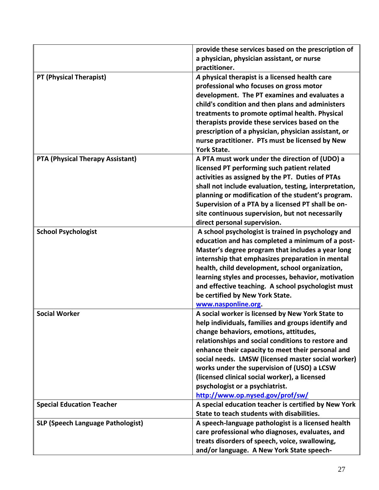|                                          | provide these services based on the prescription of<br>a physician, physician assistant, or nurse<br>practitioner.                                                                                                                                                                                                                                                                                                                                                                       |
|------------------------------------------|------------------------------------------------------------------------------------------------------------------------------------------------------------------------------------------------------------------------------------------------------------------------------------------------------------------------------------------------------------------------------------------------------------------------------------------------------------------------------------------|
| PT (Physical Therapist)                  | A physical therapist is a licensed health care<br>professional who focuses on gross motor<br>development. The PT examines and evaluates a<br>child's condition and then plans and administers<br>treatments to promote optimal health. Physical<br>therapists provide these services based on the<br>prescription of a physician, physician assistant, or<br>nurse practitioner. PTs must be licensed by New<br><b>York State.</b>                                                       |
| <b>PTA (Physical Therapy Assistant)</b>  | A PTA must work under the direction of (UDO) a<br>licensed PT performing such patient related<br>activities as assigned by the PT. Duties of PTAs<br>shall not include evaluation, testing, interpretation,<br>planning or modification of the student's program.<br>Supervision of a PTA by a licensed PT shall be on-<br>site continuous supervision, but not necessarily<br>direct personal supervision.                                                                              |
| <b>School Psychologist</b>               | A school psychologist is trained in psychology and<br>education and has completed a minimum of a post-<br>Master's degree program that includes a year long<br>internship that emphasizes preparation in mental<br>health, child development, school organization,<br>learning styles and processes, behavior, motivation<br>and effective teaching. A school psychologist must<br>be certified by New York State.<br>www.nasponline.org.                                                |
| <b>Social Worker</b>                     | A social worker is licensed by New York State to<br>help individuals, families and groups identify and<br>change behaviors, emotions, attitudes,<br>relationships and social conditions to restore and<br>enhance their capacity to meet their personal and<br>social needs. LMSW (licensed master social worker)<br>works under the supervision of (USO) a LCSW<br>(licensed clinical social worker), a licensed<br>psychologist or a psychiatrist.<br>http://www.op.nysed.gov/prof/sw/ |
| <b>Special Education Teacher</b>         | A special education teacher is certified by New York<br>State to teach students with disabilities.                                                                                                                                                                                                                                                                                                                                                                                       |
| <b>SLP (Speech Language Pathologist)</b> | A speech-language pathologist is a licensed health<br>care professional who diagnoses, evaluates, and<br>treats disorders of speech, voice, swallowing,<br>and/or language. A New York State speech-                                                                                                                                                                                                                                                                                     |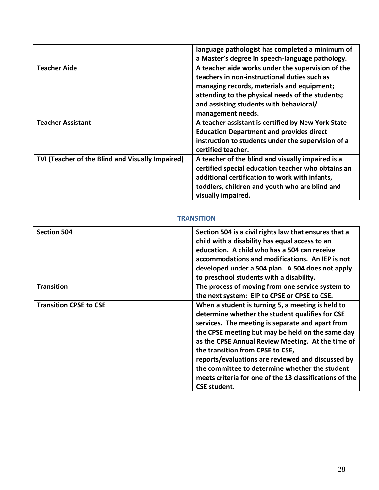|                                                  | language pathologist has completed a minimum of    |
|--------------------------------------------------|----------------------------------------------------|
|                                                  | a Master's degree in speech-language pathology.    |
| <b>Teacher Aide</b>                              | A teacher aide works under the supervision of the  |
|                                                  | teachers in non-instructional duties such as       |
|                                                  | managing records, materials and equipment;         |
|                                                  | attending to the physical needs of the students;   |
|                                                  | and assisting students with behavioral/            |
|                                                  | management needs.                                  |
| <b>Teacher Assistant</b>                         | A teacher assistant is certified by New York State |
|                                                  | <b>Education Department and provides direct</b>    |
|                                                  | instruction to students under the supervision of a |
|                                                  | certified teacher.                                 |
| TVI (Teacher of the Blind and Visually Impaired) | A teacher of the blind and visually impaired is a  |
|                                                  | certified special education teacher who obtains an |
|                                                  | additional certification to work with infants,     |
|                                                  | toddlers, children and youth who are blind and     |
|                                                  | visually impaired.                                 |

### **TRANSITION**

<span id="page-30-0"></span>

| <b>Section 504</b>            | Section 504 is a civil rights law that ensures that a   |
|-------------------------------|---------------------------------------------------------|
|                               | child with a disability has equal access to an          |
|                               | education. A child who has a 504 can receive            |
|                               | accommodations and modifications. An IEP is not         |
|                               | developed under a 504 plan. A 504 does not apply        |
|                               | to preschool students with a disability.                |
| <b>Transition</b>             | The process of moving from one service system to        |
|                               | the next system: EIP to CPSE or CPSE to CSE.            |
| <b>Transition CPSE to CSE</b> | When a student is turning 5, a meeting is held to       |
|                               | determine whether the student qualifies for CSE         |
|                               | services. The meeting is separate and apart from        |
|                               | the CPSE meeting but may be held on the same day        |
|                               | as the CPSE Annual Review Meeting. At the time of       |
|                               | the transition from CPSE to CSE,                        |
|                               | reports/evaluations are reviewed and discussed by       |
|                               | the committee to determine whether the student          |
|                               | meets criteria for one of the 13 classifications of the |
|                               | <b>CSE student.</b>                                     |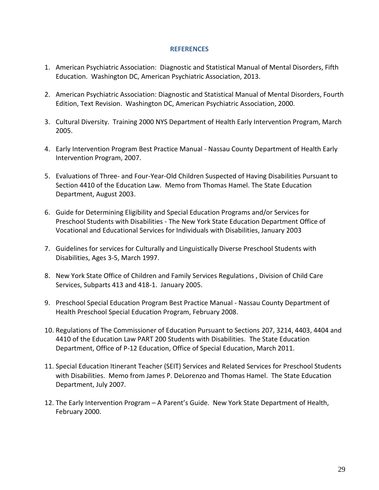#### **REFERENCES**

- <span id="page-31-0"></span>1. American Psychiatric Association: Diagnostic and Statistical Manual of Mental Disorders, Fifth Education. Washington DC, American Psychiatric Association, 2013.
- 2. American Psychiatric Association: Diagnostic and Statistical Manual of Mental Disorders, Fourth Edition, Text Revision. Washington DC, American Psychiatric Association, 2000.
- 3. Cultural Diversity. Training 2000 NYS Department of Health Early Intervention Program, March 2005.
- 4. Early Intervention Program Best Practice Manual Nassau County Department of Health Early Intervention Program, 2007.
- 5. Evaluations of Three- and Four-Year-Old Children Suspected of Having Disabilities Pursuant to Section 4410 of the Education Law. Memo from Thomas Hamel. The State Education Department, August 2003.
- 6. Guide for Determining Eligibility and Special Education Programs and/or Services for Preschool Students with Disabilities - The New York State Education Department Office of Vocational and Educational Services for Individuals with Disabilities, January 2003
- 7. Guidelines for services for Culturally and Linguistically Diverse Preschool Students with Disabilities, Ages 3-5, March 1997.
- 8. New York State Office of Children and Family Services Regulations , Division of Child Care Services, Subparts 413 and 418-1. January 2005.
- 9. Preschool Special Education Program Best Practice Manual Nassau County Department of Health Preschool Special Education Program, February 2008.
- 10. Regulations of The Commissioner of Education Pursuant to Sections 207, 3214, 4403, 4404 and 4410 of the Education Law PART 200 Students with Disabilities. The State Education Department, Office of P-12 Education, Office of Special Education, March 2011.
- 11. Special Education Itinerant Teacher (SEIT) Services and Related Services for Preschool Students with Disabilities. Memo from James P. DeLorenzo and Thomas Hamel. The State Education Department, July 2007.
- 12. The Early Intervention Program A Parent's Guide. New York State Department of Health, February 2000.